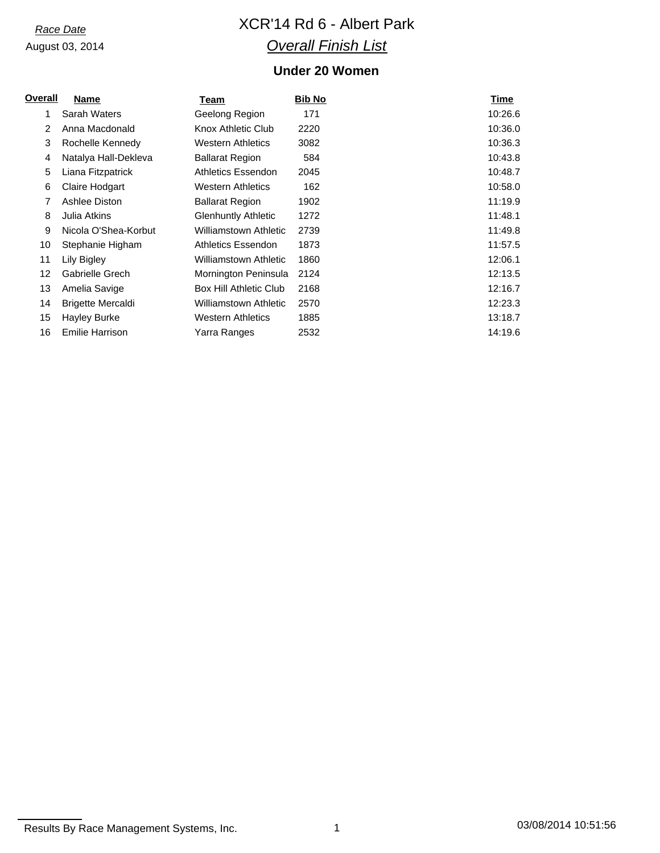# *Race Date* XCR'14 Rd 6 - Albert Park *Overall Finish List*

## **Under 20 Women**

| Overall<br><b>Name</b>   | Team                       | <b>Bib No</b> | Time    |
|--------------------------|----------------------------|---------------|---------|
| Sarah Waters             | Geelong Region             | 171           | 10:26.6 |
| Anna Macdonald           | Knox Athletic Club         | 2220          | 10:36.0 |
| Rochelle Kennedy         | <b>Western Athletics</b>   | 3082          | 10:36.3 |
| Natalya Hall-Dekleva     | <b>Ballarat Region</b>     | 584           | 10:43.8 |
| Liana Fitzpatrick        | Athletics Essendon         | 2045          | 10:48.7 |
| Claire Hodgart           | Western Athletics          | 162           | 10:58.0 |
| Ashlee Diston            | <b>Ballarat Region</b>     | 1902          | 11:19.9 |
| Julia Atkins             | <b>Glenhuntly Athletic</b> | 1272          | 11:48.1 |
| Nicola O'Shea-Korbut     | Williamstown Athletic      | 2739          | 11:49.8 |
| Stephanie Higham         | Athletics Essendon         | 1873          | 11:57.5 |
| Lily Bigley              | Williamstown Athletic      | 1860          | 12:06.1 |
| Gabrielle Grech          | Mornington Peninsula       | 2124          | 12:13.5 |
| Amelia Savige            | Box Hill Athletic Club     | 2168          | 12:16.7 |
| <b>Brigette Mercaldi</b> | Williamstown Athletic      | 2570          | 12:23.3 |
| Hayley Burke             | <b>Western Athletics</b>   | 1885          | 13:18.7 |
| <b>Emilie Harrison</b>   | Yarra Ranges               | 2532          | 14:19.6 |
|                          |                            |               |         |

Results By Race Management Systems, Inc. 1 03/08/2014 10:51:56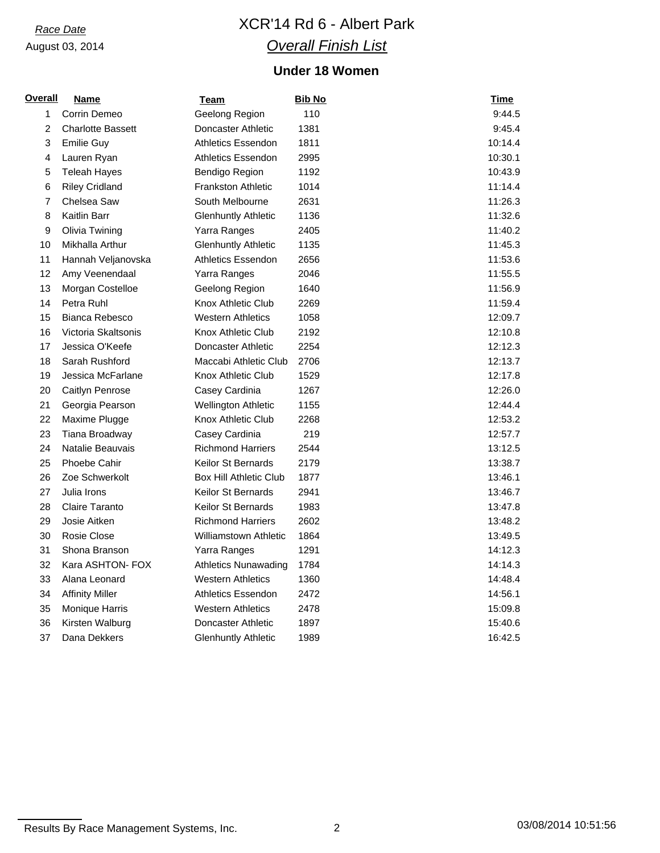# *Race Date* XCR'14 Rd 6 - Albert Park *Overall Finish List*

## **Under 18 Women**

| <u>Overall</u> | <b>Name</b>              | <u>Team</u>                   | <b>Bib No</b> | <b>Time</b> |
|----------------|--------------------------|-------------------------------|---------------|-------------|
| $\mathbf{1}$   | Corrin Demeo             | Geelong Region                | 110           | 9:44.5      |
| $\overline{c}$ | <b>Charlotte Bassett</b> | Doncaster Athletic            | 1381          | 9:45.4      |
| 3              | <b>Emilie Guy</b>        | Athletics Essendon            | 1811          | 10:14.4     |
| 4              | Lauren Ryan              | <b>Athletics Essendon</b>     | 2995          | 10:30.1     |
| 5              | <b>Teleah Hayes</b>      | Bendigo Region                | 1192          | 10:43.9     |
| 6              | <b>Riley Cridland</b>    | <b>Frankston Athletic</b>     | 1014          | 11:14.4     |
| 7              | Chelsea Saw              | South Melbourne               | 2631          | 11:26.3     |
| 8              | Kaitlin Barr             | <b>Glenhuntly Athletic</b>    | 1136          | 11:32.6     |
| 9              | Olivia Twining           | Yarra Ranges                  | 2405          | 11:40.2     |
| 10             | Mikhalla Arthur          | <b>Glenhuntly Athletic</b>    | 1135          | 11:45.3     |
| 11             | Hannah Veljanovska       | <b>Athletics Essendon</b>     | 2656          | 11:53.6     |
| 12             | Amy Veenendaal           | Yarra Ranges                  | 2046          | 11:55.5     |
| 13             | Morgan Costelloe         | Geelong Region                | 1640          | 11:56.9     |
| 14             | Petra Ruhl               | Knox Athletic Club            | 2269          | 11:59.4     |
| 15             | Bianca Rebesco           | <b>Western Athletics</b>      | 1058          | 12:09.7     |
| 16             | Victoria Skaltsonis      | Knox Athletic Club            | 2192          | 12:10.8     |
| 17             | Jessica O'Keefe          | Doncaster Athletic            | 2254          | 12:12.3     |
| 18             | Sarah Rushford           | Maccabi Athletic Club         | 2706          | 12:13.7     |
| 19             | Jessica McFarlane        | Knox Athletic Club            | 1529          | 12:17.8     |
| 20             | Caitlyn Penrose          | Casey Cardinia                | 1267          | 12:26.0     |
| 21             | Georgia Pearson          | Wellington Athletic           | 1155          | 12:44.4     |
| 22             | Maxime Plugge            | Knox Athletic Club            | 2268          | 12:53.2     |
| 23             | Tiana Broadway           | Casey Cardinia                | 219           | 12:57.7     |
| 24             | Natalie Beauvais         | <b>Richmond Harriers</b>      | 2544          | 13:12.5     |
| 25             | Phoebe Cahir             | <b>Keilor St Bernards</b>     | 2179          | 13:38.7     |
| 26             | Zoe Schwerkolt           | <b>Box Hill Athletic Club</b> | 1877          | 13:46.1     |
| 27             | Julia Irons              | <b>Keilor St Bernards</b>     | 2941          | 13:46.7     |
| 28             | Claire Taranto           | <b>Keilor St Bernards</b>     | 1983          | 13:47.8     |
| 29             | Josie Aitken             | <b>Richmond Harriers</b>      | 2602          | 13:48.2     |
| 30             | Rosie Close              | <b>Williamstown Athletic</b>  | 1864          | 13:49.5     |
| 31             | Shona Branson            | Yarra Ranges                  | 1291          | 14:12.3     |
| 32             | Kara ASHTON- FOX         | <b>Athletics Nunawading</b>   | 1784          | 14:14.3     |
| 33             | Alana Leonard            | <b>Western Athletics</b>      | 1360          | 14:48.4     |
| 34             | <b>Affinity Miller</b>   | <b>Athletics Essendon</b>     | 2472          | 14:56.1     |
| 35             | Monique Harris           | <b>Western Athletics</b>      | 2478          | 15:09.8     |
| 36             | Kirsten Walburg          | Doncaster Athletic            | 1897          | 15:40.6     |
| 37             | Dana Dekkers             | <b>Glenhuntly Athletic</b>    | 1989          | 16:42.5     |

Results By Race Management Systems, Inc. 2 2 2 03/08/2014 10:51:56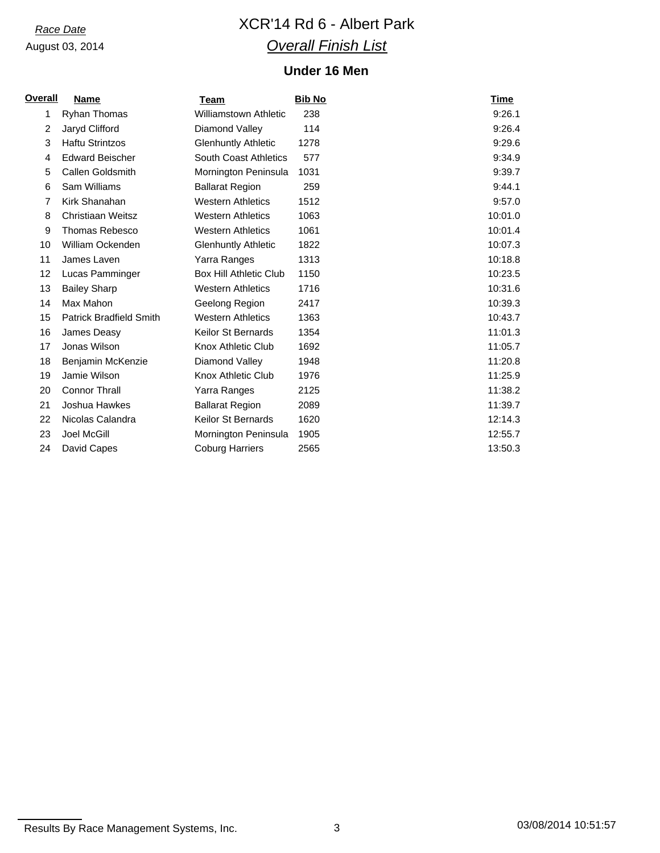# *Race Date* XCR'14 Rd 6 - Albert Park *Overall Finish List*

## **Under 16 Men**

| <u>Overall</u> | <b>Name</b>                    | Team                          | <b>Bib No</b> | Time    |
|----------------|--------------------------------|-------------------------------|---------------|---------|
| 1              | <b>Ryhan Thomas</b>            | <b>Williamstown Athletic</b>  | 238           | 9:26.1  |
| $\overline{2}$ | Jaryd Clifford                 | Diamond Valley                | 114           | 9:26.4  |
| 3              | <b>Haftu Strintzos</b>         | <b>Glenhuntly Athletic</b>    | 1278          | 9:29.6  |
| 4              | <b>Edward Beischer</b>         | South Coast Athletics         | 577           | 9:34.9  |
| 5              | <b>Callen Goldsmith</b>        | Mornington Peninsula          | 1031          | 9:39.7  |
| 6              | Sam Williams                   | <b>Ballarat Region</b>        | 259           | 9:44.1  |
| 7              | Kirk Shanahan                  | <b>Western Athletics</b>      | 1512          | 9:57.0  |
| 8              | <b>Christiaan Weitsz</b>       | <b>Western Athletics</b>      | 1063          | 10:01.0 |
| 9              | <b>Thomas Rebesco</b>          | <b>Western Athletics</b>      | 1061          | 10:01.4 |
| 10             | William Ockenden               | <b>Glenhuntly Athletic</b>    | 1822          | 10:07.3 |
| 11             | James Laven                    | Yarra Ranges                  | 1313          | 10:18.8 |
| 12             | Lucas Pamminger                | <b>Box Hill Athletic Club</b> | 1150          | 10:23.5 |
| 13             | <b>Bailey Sharp</b>            | <b>Western Athletics</b>      | 1716          | 10:31.6 |
| 14             | Max Mahon                      | Geelong Region                | 2417          | 10:39.3 |
| 15             | <b>Patrick Bradfield Smith</b> | <b>Western Athletics</b>      | 1363          | 10:43.7 |
| 16             | James Deasy                    | <b>Keilor St Bernards</b>     | 1354          | 11:01.3 |
| 17             | Jonas Wilson                   | Knox Athletic Club            | 1692          | 11:05.7 |
| 18             | Benjamin McKenzie              | Diamond Valley                | 1948          | 11:20.8 |
| 19             | Jamie Wilson                   | Knox Athletic Club            | 1976          | 11:25.9 |
| 20             | <b>Connor Thrall</b>           | Yarra Ranges                  | 2125          | 11:38.2 |
| 21             | Joshua Hawkes                  | <b>Ballarat Region</b>        | 2089          | 11:39.7 |
| 22             | Nicolas Calandra               | <b>Keilor St Bernards</b>     | 1620          | 12:14.3 |
| 23             | Joel McGill                    | Mornington Peninsula          | 1905          | 12:55.7 |
| 24             | David Capes                    | <b>Coburg Harriers</b>        | 2565          | 13:50.3 |

Results By Race Management Systems, Inc. 2008/2014 10:51:57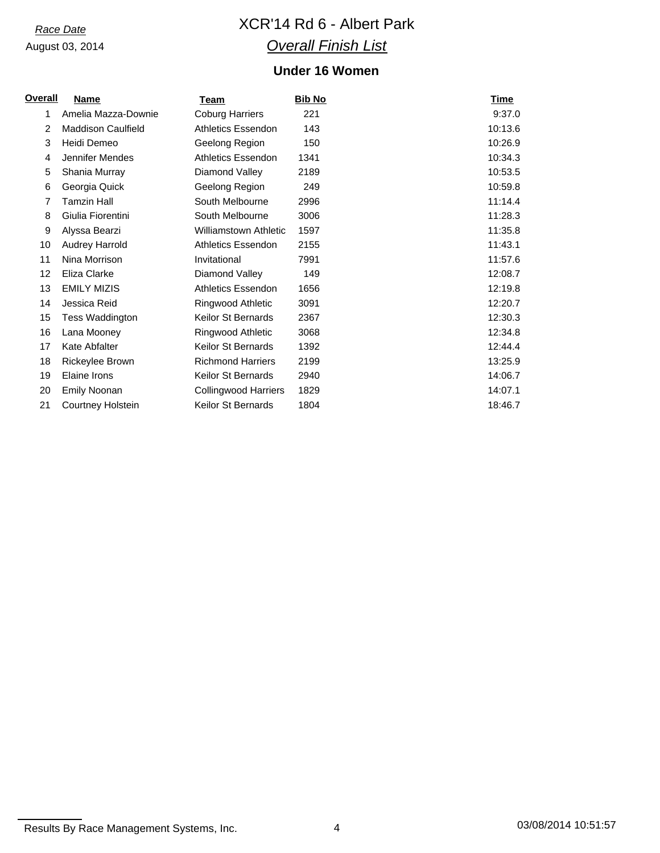# *Race Date* XCR'14 Rd 6 - Albert Park *Overall Finish List*

## **Under 16 Women**

| <b>Overall</b> | <b>Name</b>               | Team                         | <b>Bib No</b> | Time    |
|----------------|---------------------------|------------------------------|---------------|---------|
| 1              | Amelia Mazza-Downie       | <b>Coburg Harriers</b>       | 221           | 9:37.0  |
| $\overline{2}$ | <b>Maddison Caulfield</b> | <b>Athletics Essendon</b>    | 143           | 10:13.6 |
| 3              | Heidi Demeo               | Geelong Region               | 150           | 10:26.9 |
| 4              | Jennifer Mendes           | <b>Athletics Essendon</b>    | 1341          | 10:34.3 |
| 5              | Shania Murray             | Diamond Valley               | 2189          | 10:53.5 |
| 6              | Georgia Quick             | Geelong Region               | 249           | 10:59.8 |
| 7              | Tamzin Hall               | South Melbourne              | 2996          | 11:14.4 |
| 8              | Giulia Fiorentini         | South Melbourne              | 3006          | 11:28.3 |
| 9              | Alyssa Bearzi             | <b>Williamstown Athletic</b> | 1597          | 11:35.8 |
| 10             | Audrey Harrold            | <b>Athletics Essendon</b>    | 2155          | 11:43.1 |
| 11             | Nina Morrison             | Invitational                 | 7991          | 11:57.6 |
| 12             | Eliza Clarke              | Diamond Valley               | 149           | 12:08.7 |
| 13             | <b>EMILY MIZIS</b>        | <b>Athletics Essendon</b>    | 1656          | 12:19.8 |
| 14             | Jessica Reid              | Ringwood Athletic            | 3091          | 12:20.7 |
| 15             | Tess Waddington           | <b>Keilor St Bernards</b>    | 2367          | 12:30.3 |
| 16             | Lana Mooney               | Ringwood Athletic            | 3068          | 12:34.8 |
| 17             | Kate Abfalter             | Keilor St Bernards           | 1392          | 12:44.4 |
| 18             | Rickeylee Brown           | <b>Richmond Harriers</b>     | 2199          | 13:25.9 |
| 19             | Elaine Irons              | Keilor St Bernards           | 2940          | 14:06.7 |
| 20             | Emily Noonan              | Collingwood Harriers         | 1829          | 14:07.1 |
| 21             | <b>Courtney Holstein</b>  | Keilor St Bernards           | 1804          | 18:46.7 |

Results By Race Management Systems, Inc. 4 03/08/2014 10:51:57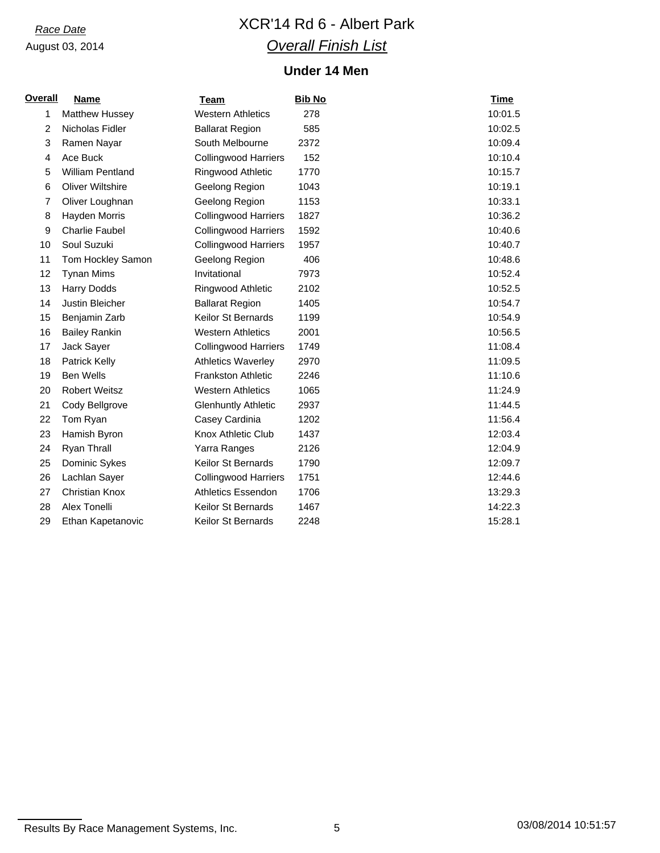# *Race Date* XCR'14 Rd 6 - Albert Park *Overall Finish List*

## **Under 14 Men**

| <b>Overall</b> | <b>Name</b>             | <b>Team</b>                 | <b>Bib No</b> | <b>Time</b> |
|----------------|-------------------------|-----------------------------|---------------|-------------|
| 1              | Matthew Hussey          | <b>Western Athletics</b>    | 278           | 10:01.5     |
| 2              | Nicholas Fidler         | <b>Ballarat Region</b>      | 585           | 10:02.5     |
| 3              | Ramen Nayar             | South Melbourne             | 2372          | 10:09.4     |
| 4              | Ace Buck                | <b>Collingwood Harriers</b> | 152           | 10:10.4     |
| 5              | <b>William Pentland</b> | Ringwood Athletic           | 1770          | 10:15.7     |
| 6              | <b>Oliver Wiltshire</b> | Geelong Region              | 1043          | 10:19.1     |
| 7              | Oliver Loughnan         | Geelong Region              | 1153          | 10:33.1     |
| 8              | Hayden Morris           | <b>Collingwood Harriers</b> | 1827          | 10:36.2     |
| 9              | <b>Charlie Faubel</b>   | <b>Collingwood Harriers</b> | 1592          | 10:40.6     |
| 10             | Soul Suzuki             | <b>Collingwood Harriers</b> | 1957          | 10:40.7     |
| 11             | Tom Hockley Samon       | Geelong Region              | 406           | 10:48.6     |
| 12             | <b>Tynan Mims</b>       | Invitational                | 7973          | 10:52.4     |
| 13             | <b>Harry Dodds</b>      | Ringwood Athletic           | 2102          | 10:52.5     |
| 14             | Justin Bleicher         | <b>Ballarat Region</b>      | 1405          | 10:54.7     |
| 15             | Benjamin Zarb           | Keilor St Bernards          | 1199          | 10:54.9     |
| 16             | <b>Bailey Rankin</b>    | <b>Western Athletics</b>    | 2001          | 10:56.5     |
| 17             | Jack Sayer              | <b>Collingwood Harriers</b> | 1749          | 11:08.4     |
| 18             | Patrick Kelly           | <b>Athletics Waverley</b>   | 2970          | 11:09.5     |
| 19             | <b>Ben Wells</b>        | <b>Frankston Athletic</b>   | 2246          | 11:10.6     |
| 20             | <b>Robert Weitsz</b>    | <b>Western Athletics</b>    | 1065          | 11:24.9     |
| 21             | Cody Bellgrove          | <b>Glenhuntly Athletic</b>  | 2937          | 11:44.5     |
| 22             | Tom Ryan                | Casey Cardinia              | 1202          | 11:56.4     |
| 23             | Hamish Byron            | <b>Knox Athletic Club</b>   | 1437          | 12:03.4     |
| 24             | Ryan Thrall             | Yarra Ranges                | 2126          | 12:04.9     |
| 25             | Dominic Sykes           | <b>Keilor St Bernards</b>   | 1790          | 12:09.7     |
| 26             | Lachlan Sayer           | <b>Collingwood Harriers</b> | 1751          | 12:44.6     |
| 27             | <b>Christian Knox</b>   | <b>Athletics Essendon</b>   | 1706          | 13:29.3     |
| 28             | Alex Tonelli            | Keilor St Bernards          | 1467          | 14:22.3     |
| 29             | Ethan Kapetanovic       | Keilor St Bernards          | 2248          | 15:28.1     |

Results By Race Management Systems, Inc. 6 03/08/2014 10:51:57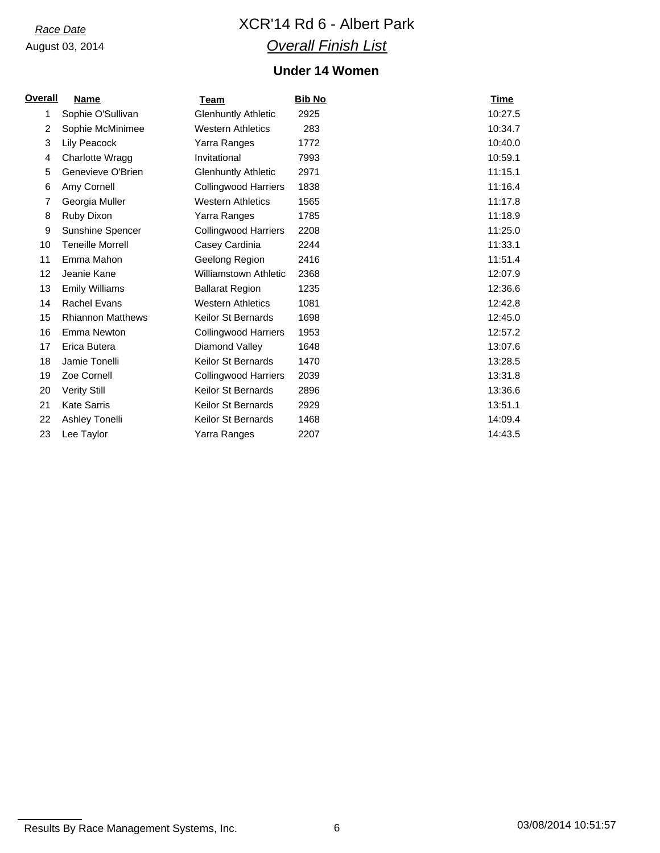# *Race Date* XCR'14 Rd 6 - Albert Park *Overall Finish List*

## **Under 14 Women**

| <u>Overall</u> | <b>Name</b>              | Team                         | <b>Bib No</b> | Time    |
|----------------|--------------------------|------------------------------|---------------|---------|
| 1              | Sophie O'Sullivan        | <b>Glenhuntly Athletic</b>   | 2925          | 10:27.5 |
| 2              | Sophie McMinimee         | <b>Western Athletics</b>     | 283           | 10:34.7 |
| 3              | Lily Peacock             | Yarra Ranges                 | 1772          | 10:40.0 |
| 4              | Charlotte Wragg          | Invitational                 | 7993          | 10:59.1 |
| 5              | Genevieve O'Brien        | <b>Glenhuntly Athletic</b>   | 2971          | 11:15.1 |
| 6              | Amy Cornell              | <b>Collingwood Harriers</b>  | 1838          | 11:16.4 |
| $\overline{7}$ | Georgia Muller           | <b>Western Athletics</b>     | 1565          | 11:17.8 |
| 8              | Ruby Dixon               | Yarra Ranges                 | 1785          | 11:18.9 |
| 9              | Sunshine Spencer         | <b>Collingwood Harriers</b>  | 2208          | 11:25.0 |
| 10             | <b>Teneille Morrell</b>  | Casey Cardinia               | 2244          | 11:33.1 |
| 11             | Emma Mahon               | Geelong Region               | 2416          | 11:51.4 |
| 12             | Jeanie Kane              | <b>Williamstown Athletic</b> | 2368          | 12:07.9 |
| 13             | <b>Emily Williams</b>    | <b>Ballarat Region</b>       | 1235          | 12:36.6 |
| 14             | Rachel Evans             | <b>Western Athletics</b>     | 1081          | 12:42.8 |
| 15             | <b>Rhiannon Matthews</b> | <b>Keilor St Bernards</b>    | 1698          | 12:45.0 |
| 16             | Emma Newton              | <b>Collingwood Harriers</b>  | 1953          | 12:57.2 |
| 17             | Erica Butera             | Diamond Valley               | 1648          | 13:07.6 |
| 18             | Jamie Tonelli            | Keilor St Bernards           | 1470          | 13:28.5 |
| 19             | Zoe Cornell              | <b>Collingwood Harriers</b>  | 2039          | 13:31.8 |
| 20             | <b>Verity Still</b>      | <b>Keilor St Bernards</b>    | 2896          | 13:36.6 |
| 21             | <b>Kate Sarris</b>       | <b>Keilor St Bernards</b>    | 2929          | 13:51.1 |
| 22             | Ashley Tonelli           | <b>Keilor St Bernards</b>    | 1468          | 14:09.4 |
| 23             | Lee Taylor               | Yarra Ranges                 | 2207          | 14:43.5 |

Results By Race Management Systems, Inc. 6 03/08/2014 10:51:57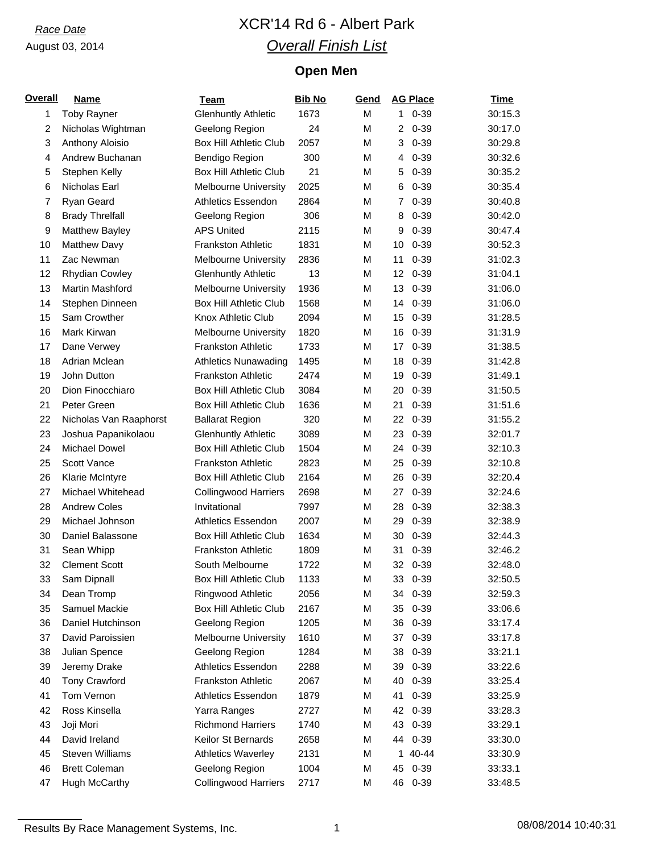# *Race Date* XCR'14 Rd 6 - Albert Park *Overall Finish List*

# **Open Men**

| <b>Overall</b> | <b>Name</b>            | Team                          | <b>Bib No</b> | Gend | <b>AG Place</b> | <b>Time</b> |
|----------------|------------------------|-------------------------------|---------------|------|-----------------|-------------|
| 1              | <b>Toby Rayner</b>     | <b>Glenhuntly Athletic</b>    | 1673          | M    | $0 - 39$<br>1   | 30:15.3     |
| $\overline{2}$ | Nicholas Wightman      | Geelong Region                | 24            | M    | $0 - 39$<br>2   | 30:17.0     |
| 3              | Anthony Aloisio        | <b>Box Hill Athletic Club</b> | 2057          | M    | $0 - 39$<br>3   | 30:29.8     |
| $\overline{4}$ | Andrew Buchanan        | Bendigo Region                | 300           | M    | $0 - 39$<br>4   | 30:32.6     |
| 5              | Stephen Kelly          | <b>Box Hill Athletic Club</b> | 21            | M    | $0 - 39$<br>5   | 30:35.2     |
| 6              | Nicholas Earl          | <b>Melbourne University</b>   | 2025          | M    | $0 - 39$<br>6   | 30:35.4     |
| 7              | <b>Ryan Geard</b>      | Athletics Essendon            | 2864          | M    | $0 - 39$<br>7   | 30:40.8     |
| 8              | <b>Brady Threlfall</b> | Geelong Region                | 306           | M    | $0 - 39$<br>8   | 30:42.0     |
| 9              | Matthew Bayley         | <b>APS United</b>             | 2115          | M    | $0 - 39$<br>9   | 30:47.4     |
| 10             | <b>Matthew Davy</b>    | <b>Frankston Athletic</b>     | 1831          | M    | $0 - 39$<br>10  | 30:52.3     |
| 11             | Zac Newman             | <b>Melbourne University</b>   | 2836          | M    | 11<br>$0 - 39$  | 31:02.3     |
| 12             | Rhydian Cowley         | <b>Glenhuntly Athletic</b>    | 13            | M    | $0 - 39$<br>12  | 31:04.1     |
| 13             | Martin Mashford        | <b>Melbourne University</b>   | 1936          | M    | 13<br>$0 - 39$  | 31:06.0     |
| 14             | Stephen Dinneen        | <b>Box Hill Athletic Club</b> | 1568          | M    | $0 - 39$<br>14  | 31:06.0     |
| 15             | Sam Crowther           | Knox Athletic Club            | 2094          | M    | $0 - 39$<br>15  | 31:28.5     |
| 16             | Mark Kirwan            | <b>Melbourne University</b>   | 1820          | M    | $0 - 39$<br>16  | 31:31.9     |
| 17             | Dane Verwey            | <b>Frankston Athletic</b>     | 1733          | M    | 17<br>$0 - 39$  | 31:38.5     |
| 18             | Adrian Mclean          | <b>Athletics Nunawading</b>   | 1495          | M    | $0 - 39$<br>18  | 31:42.8     |
| 19             | John Dutton            | <b>Frankston Athletic</b>     | 2474          | M    | $0 - 39$<br>19  | 31:49.1     |
| 20             | Dion Finocchiaro       | <b>Box Hill Athletic Club</b> | 3084          | M    | $0 - 39$<br>20  | 31:50.5     |
| 21             | Peter Green            | <b>Box Hill Athletic Club</b> | 1636          | M    | 21<br>$0 - 39$  | 31:51.6     |
| 22             | Nicholas Van Raaphorst | <b>Ballarat Region</b>        | 320           | M    | $0 - 39$<br>22  | 31:55.2     |
| 23             | Joshua Papanikolaou    | <b>Glenhuntly Athletic</b>    | 3089          | M    | $0 - 39$<br>23  | 32:01.7     |
| 24             | Michael Dowel          | <b>Box Hill Athletic Club</b> | 1504          | M    | $0 - 39$<br>24  | 32:10.3     |
| 25             | Scott Vance            | Frankston Athletic            | 2823          | M    | 25<br>$0 - 39$  | 32:10.8     |
| 26             | Klarie McIntyre        | <b>Box Hill Athletic Club</b> | 2164          | M    | $0 - 39$<br>26  | 32:20.4     |
| 27             | Michael Whitehead      | <b>Collingwood Harriers</b>   | 2698          | M    | $0 - 39$<br>27  | 32:24.6     |
| 28             | <b>Andrew Coles</b>    | Invitational                  | 7997          | M    | 28<br>$0 - 39$  | 32:38.3     |
| 29             | Michael Johnson        | <b>Athletics Essendon</b>     | 2007          | M    | 29<br>$0 - 39$  | 32:38.9     |
| 30             | Daniel Balassone       | <b>Box Hill Athletic Club</b> | 1634          | M    | $0 - 39$<br>30  | 32:44.3     |
| 31             | Sean Whipp             | <b>Frankston Athletic</b>     | 1809          | M    | $0 - 39$<br>31  | 32:46.2     |
| 32             | <b>Clement Scott</b>   | South Melbourne               | 1722          | М    | 32 0-39         | 32:48.0     |
| 33             | Sam Dipnall            | Box Hill Athletic Club        | 1133          | M    | $0 - 39$<br>33  | 32:50.5     |
| 34             | Dean Tromp             | Ringwood Athletic             | 2056          | М    | $0 - 39$<br>34  | 32:59.3     |
| 35             | Samuel Mackie          | <b>Box Hill Athletic Club</b> | 2167          | M    | $0 - 39$<br>35  | 33:06.6     |
| 36             | Daniel Hutchinson      | Geelong Region                | 1205          | M    | $0 - 39$<br>36  | 33:17.4     |
| 37             | David Paroissien       | <b>Melbourne University</b>   | 1610          | М    | 37<br>$0 - 39$  | 33:17.8     |
| 38             | Julian Spence          | Geelong Region                | 1284          | Μ    | 38<br>$0 - 39$  | 33:21.1     |
| 39             | Jeremy Drake           | Athletics Essendon            | 2288          | М    | $0 - 39$<br>39  | 33:22.6     |
| 40             | <b>Tony Crawford</b>   | Frankston Athletic            | 2067          | М    | $0 - 39$<br>40  | 33:25.4     |
| 41             | Tom Vernon             | <b>Athletics Essendon</b>     | 1879          | M    | 41<br>$0 - 39$  | 33:25.9     |
| 42             | Ross Kinsella          | Yarra Ranges                  | 2727          | М    | $0 - 39$<br>42  | 33:28.3     |
| 43             | Joji Mori              | <b>Richmond Harriers</b>      | 1740          | M    | $0 - 39$<br>43  | 33:29.1     |
| 44             | David Ireland          | Keilor St Bernards            | 2658          | М    | $0 - 39$<br>44  | 33:30.0     |
| 45             | <b>Steven Williams</b> | <b>Athletics Waverley</b>     | 2131          | М    | 1 40-44         | 33:30.9     |
| 46             | <b>Brett Coleman</b>   | Geelong Region                | 1004          | Μ    | $0 - 39$<br>45  | 33:33.1     |
| 47             | Hugh McCarthy          | <b>Collingwood Harriers</b>   | 2717          | M    | 46<br>$0 - 39$  | 33:48.5     |

Results By Race Management Systems, Inc. 1 1 1 1 08/08/2014 10:40:31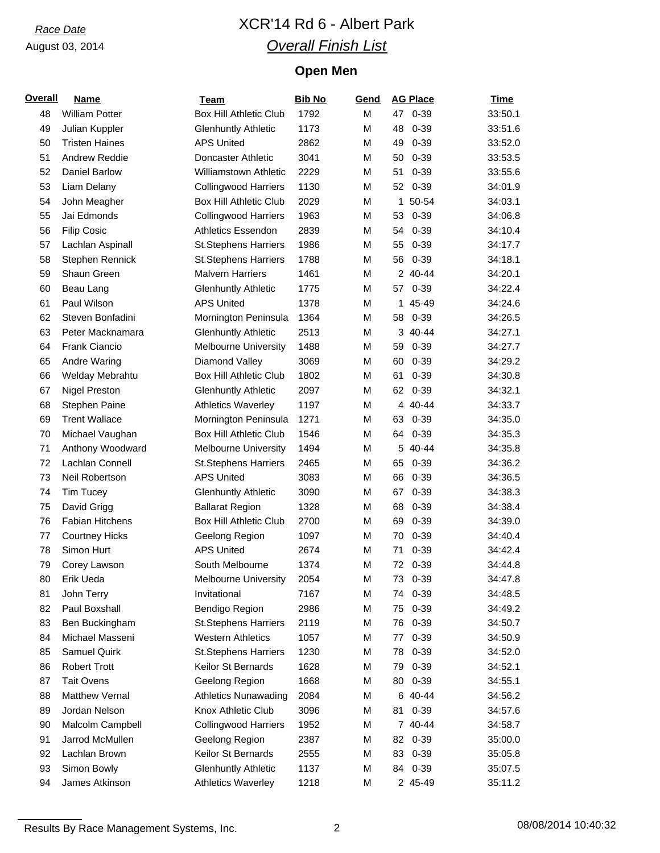# *Race Date* XCR'14 Rd 6 - Albert Park *Overall Finish List*

# **Open Men**

| <b>Overall</b> | <b>Name</b>            | Team                          | <b>Bib No</b> | Gend | <b>AG Place</b> | <b>Time</b> |
|----------------|------------------------|-------------------------------|---------------|------|-----------------|-------------|
| 48             | <b>William Potter</b>  | <b>Box Hill Athletic Club</b> | 1792          | M    | 47 0-39         | 33:50.1     |
| 49             | Julian Kuppler         | <b>Glenhuntly Athletic</b>    | 1173          | M    | 48<br>$0 - 39$  | 33:51.6     |
| 50             | <b>Tristen Haines</b>  | <b>APS United</b>             | 2862          | M    | $0 - 39$<br>49  | 33:52.0     |
| 51             | Andrew Reddie          | Doncaster Athletic            | 3041          | M    | $0 - 39$<br>50  | 33:53.5     |
| 52             | Daniel Barlow          | Williamstown Athletic         | 2229          | M    | 51<br>$0 - 39$  | 33:55.6     |
| 53             | Liam Delany            | <b>Collingwood Harriers</b>   | 1130          | M    | 52<br>$0 - 39$  | 34:01.9     |
| 54             | John Meagher           | <b>Box Hill Athletic Club</b> | 2029          | M    | 1 50-54         | 34:03.1     |
| 55             | Jai Edmonds            | <b>Collingwood Harriers</b>   | 1963          | M    | 53<br>$0 - 39$  | 34:06.8     |
| 56             | <b>Filip Cosic</b>     | <b>Athletics Essendon</b>     | 2839          | M    | 54<br>$0 - 39$  | 34:10.4     |
| 57             | Lachlan Aspinall       | <b>St.Stephens Harriers</b>   | 1986          | M    | $0 - 39$<br>55  | 34:17.7     |
| 58             | Stephen Rennick        | <b>St.Stephens Harriers</b>   | 1788          | M    | 56<br>$0 - 39$  | 34:18.1     |
| 59             | Shaun Green            | <b>Malvern Harriers</b>       | 1461          | M    | 2 40-44         | 34:20.1     |
| 60             | Beau Lang              | <b>Glenhuntly Athletic</b>    | 1775          | M    | 57<br>$0 - 39$  | 34:22.4     |
| 61             | Paul Wilson            | <b>APS United</b>             | 1378          | M    | 1 45-49         | 34:24.6     |
| 62             | Steven Bonfadini       | Mornington Peninsula          | 1364          | M    | $0 - 39$<br>58  | 34:26.5     |
| 63             | Peter Macknamara       | <b>Glenhuntly Athletic</b>    | 2513          | M    | 3 40-44         | 34:27.1     |
| 64             | Frank Ciancio          | <b>Melbourne University</b>   | 1488          | M    | 59<br>$0 - 39$  | 34:27.7     |
| 65             | Andre Waring           | Diamond Valley                | 3069          | M    | $0 - 39$<br>60  | 34:29.2     |
| 66             | Welday Mebrahtu        | <b>Box Hill Athletic Club</b> | 1802          | M    | $0 - 39$<br>61  | 34:30.8     |
| 67             |                        |                               |               | M    | 62<br>$0 - 39$  | 34:32.1     |
|                | <b>Nigel Preston</b>   | <b>Glenhuntly Athletic</b>    | 2097          |      |                 |             |
| 68             | <b>Stephen Paine</b>   | <b>Athletics Waverley</b>     | 1197          | M    | 4 40-44         | 34:33.7     |
| 69             | <b>Trent Wallace</b>   | Mornington Peninsula          | 1271          | M    | $0 - 39$<br>63  | 34:35.0     |
| 70             | Michael Vaughan        | <b>Box Hill Athletic Club</b> | 1546          | M    | $0 - 39$<br>64  | 34:35.3     |
| 71             | Anthony Woodward       | <b>Melbourne University</b>   | 1494          | M    | 5 40-44         | 34:35.8     |
| 72             | Lachlan Connell        | <b>St.Stephens Harriers</b>   | 2465          | M    | 65<br>$0 - 39$  | 34:36.2     |
| 73             | Neil Robertson         | <b>APS United</b>             | 3083          | M    | 66<br>$0 - 39$  | 34:36.5     |
| 74             | Tim Tucey              | <b>Glenhuntly Athletic</b>    | 3090          | M    | $0 - 39$<br>67  | 34:38.3     |
| 75             | David Grigg            | <b>Ballarat Region</b>        | 1328          | M    | $0 - 39$<br>68  | 34:38.4     |
| 76             | <b>Fabian Hitchens</b> | <b>Box Hill Athletic Club</b> | 2700          | M    | $0 - 39$<br>69  | 34:39.0     |
| 77             | <b>Courtney Hicks</b>  | Geelong Region                | 1097          | M    | $0 - 39$<br>70  | 34:40.4     |
| 78             | Simon Hurt             | <b>APS United</b>             | 2674          | M    | $0 - 39$<br>71  | 34:42.4     |
| 79             | Corey Lawson           | South Melbourne               | 1374          | M    | 72 0-39         | 34:44.8     |
| 80             | Erik Ueda              | <b>Melbourne University</b>   | 2054          | M    | 73<br>0-39      | 34:47.8     |
| 81             | John Terry             | Invitational                  | 7167          | M    | $0 - 39$<br>74  | 34:48.5     |
| 82             | Paul Boxshall          | Bendigo Region                | 2986          | M    | $0 - 39$<br>75  | 34:49.2     |
| 83             | Ben Buckingham         | <b>St.Stephens Harriers</b>   | 2119          | M    | $0 - 39$<br>76  | 34:50.7     |
| 84             | Michael Masseni        | <b>Western Athletics</b>      | 1057          | М    | $0 - 39$<br>77  | 34:50.9     |
| 85             | Samuel Quirk           | <b>St.Stephens Harriers</b>   | 1230          | M    | $0 - 39$<br>78  | 34:52.0     |
| 86             | <b>Robert Trott</b>    | Keilor St Bernards            | 1628          | M    | $0 - 39$<br>79  | 34:52.1     |
| 87             | <b>Tait Ovens</b>      | Geelong Region                | 1668          | M    | 80<br>$0 - 39$  | 34:55.1     |
| 88             | Matthew Vernal         | <b>Athletics Nunawading</b>   | 2084          | M    | 6 40-44         | 34:56.2     |
| 89             | Jordan Nelson          | Knox Athletic Club            | 3096          | M    | $0 - 39$<br>81  | 34:57.6     |
| 90             | Malcolm Campbell       | <b>Collingwood Harriers</b>   | 1952          | M    | 7 40-44         | 34:58.7     |
| 91             | Jarrod McMullen        | Geelong Region                | 2387          | M    | 82<br>$0 - 39$  | 35:00.0     |
| 92             | Lachlan Brown          | Keilor St Bernards            | 2555          | M    | 83<br>$0 - 39$  | 35:05.8     |
| 93             | Simon Bowly            | <b>Glenhuntly Athletic</b>    | 1137          | M    | $0 - 39$<br>84  | 35:07.5     |
| 94             | James Atkinson         | <b>Athletics Waverley</b>     | 1218          | M    | 2 45-49         | 35:11.2     |

Results By Race Management Systems, Inc. 2 2 2 08/08/2014 10:40:32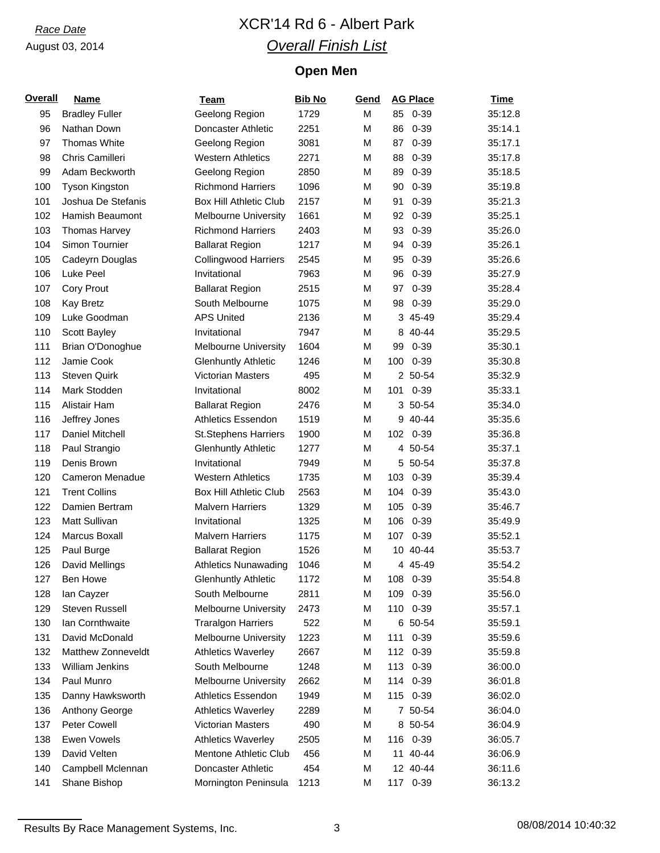# *Race Date* XCR'14 Rd 6 - Albert Park *Overall Finish List*

# **Open Men**

| <b>Overall</b> | <b>Name</b>           | <b>Team</b>                   | <b>Bib No</b> | Gend | <b>AG Place</b> | <b>Time</b> |
|----------------|-----------------------|-------------------------------|---------------|------|-----------------|-------------|
| 95             | <b>Bradley Fuller</b> | Geelong Region                | 1729          | M    | $0 - 39$<br>85  | 35:12.8     |
| 96             | Nathan Down           | Doncaster Athletic            | 2251          | M    | 86<br>$0 - 39$  | 35:14.1     |
| 97             | Thomas White          | Geelong Region                | 3081          | M    | $0 - 39$<br>87  | 35:17.1     |
| 98             | Chris Camilleri       | <b>Western Athletics</b>      | 2271          | M    | 88<br>$0 - 39$  | 35:17.8     |
| 99             | Adam Beckworth        | Geelong Region                | 2850          | M    | $0 - 39$<br>89  | 35:18.5     |
| 100            | Tyson Kingston        | <b>Richmond Harriers</b>      | 1096          | M    | 90<br>$0 - 39$  | 35:19.8     |
| 101            | Joshua De Stefanis    | <b>Box Hill Athletic Club</b> | 2157          | M    | $0 - 39$<br>91  | 35:21.3     |
| 102            | Hamish Beaumont       | <b>Melbourne University</b>   | 1661          | M    | 92<br>$0 - 39$  | 35:25.1     |
| 103            | Thomas Harvey         | <b>Richmond Harriers</b>      | 2403          | M    | $0 - 39$<br>93  | 35:26.0     |
| 104            | Simon Tournier        | <b>Ballarat Region</b>        | 1217          | M    | 94<br>$0 - 39$  | 35:26.1     |
| 105            | Cadeyrn Douglas       | <b>Collingwood Harriers</b>   | 2545          | M    | 95<br>$0 - 39$  | 35:26.6     |
| 106            | Luke Peel             | Invitational                  | 7963          | M    | 96<br>$0 - 39$  | 35:27.9     |
| 107            | <b>Cory Prout</b>     | <b>Ballarat Region</b>        | 2515          | M    | $0 - 39$<br>97  | 35:28.4     |
| 108            | <b>Kay Bretz</b>      | South Melbourne               | 1075          | M    | 98<br>$0 - 39$  | 35:29.0     |
| 109            | Luke Goodman          | <b>APS United</b>             | 2136          | M    | 3 45-49         | 35:29.4     |
| 110            | Scott Bayley          | Invitational                  | 7947          | M    | 8 40-44         | 35:29.5     |
| 111            | Brian O'Donoghue      | <b>Melbourne University</b>   | 1604          | M    | 99<br>$0 - 39$  | 35:30.1     |
| 112            | Jamie Cook            | <b>Glenhuntly Athletic</b>    | 1246          | M    | 100<br>$0 - 39$ | 35:30.8     |
| 113            | <b>Steven Quirk</b>   | Victorian Masters             | 495           | M    | 2 50-54         | 35:32.9     |
| 114            | Mark Stodden          | Invitational                  | 8002          | M    | 101<br>$0 - 39$ | 35:33.1     |
| 115            | Alistair Ham          | <b>Ballarat Region</b>        | 2476          | M    | 3 50-54         | 35:34.0     |
| 116            | Jeffrey Jones         | <b>Athletics Essendon</b>     | 1519          | M    | 40-44<br>9      | 35:35.6     |
| 117            | Daniel Mitchell       | <b>St.Stephens Harriers</b>   | 1900          | M    | 102<br>$0 - 39$ | 35:36.8     |
| 118            | Paul Strangio         | <b>Glenhuntly Athletic</b>    | 1277          | M    | 4 50-54         | 35:37.1     |
| 119            | Denis Brown           | Invitational                  | 7949          | M    | 5 50-54         | 35:37.8     |
| 120            | Cameron Menadue       | <b>Western Athletics</b>      | 1735          | M    | 103<br>$0 - 39$ | 35:39.4     |
| 121            | <b>Trent Collins</b>  | <b>Box Hill Athletic Club</b> | 2563          | M    | 104<br>$0 - 39$ | 35:43.0     |
| 122            | Damien Bertram        | <b>Malvern Harriers</b>       | 1329          | M    | 105<br>$0 - 39$ | 35:46.7     |
| 123            | Matt Sullivan         | Invitational                  | 1325          | M    | 106<br>$0 - 39$ | 35:49.9     |
| 124            | Marcus Boxall         | <b>Malvern Harriers</b>       | 1175          | M    | 107<br>$0 - 39$ | 35:52.1     |
| 125            | Paul Burge            | <b>Ballarat Region</b>        | 1526          | M    | 10 40-44        | 35:53.7     |
| 126            | David Mellings        | <b>Athletics Nunawading</b>   | 1046          | M    | 4 45-49         | 35:54.2     |
| 127            | Ben Howe              | <b>Glenhuntly Athletic</b>    | 1172          | M    | 108<br>0-39     | 35:54.8     |
| 128            | lan Cayzer            | South Melbourne               | 2811          | M    | 109<br>$0 - 39$ | 35:56.0     |
| 129            | Steven Russell        | Melbourne University          | 2473          | M    | 110<br>$0 - 39$ | 35:57.1     |
| 130            | Ian Cornthwaite       | <b>Traralgon Harriers</b>     | 522           | M    | 6 50-54         | 35:59.1     |
| 131            | David McDonald        | <b>Melbourne University</b>   | 1223          | M    | $0 - 39$<br>111 | 35:59.6     |
| 132            | Matthew Zonneveldt    | <b>Athletics Waverley</b>     | 2667          | M    | 112<br>$0 - 39$ | 35:59.8     |
| 133            | William Jenkins       | South Melbourne               | 1248          | M    | 113 0-39        | 36:00.0     |
| 134            | Paul Munro            | Melbourne University          | 2662          | M    | 114 0-39        | 36:01.8     |
| 135            | Danny Hawksworth      | <b>Athletics Essendon</b>     | 1949          | M    | 115<br>$0 - 39$ | 36:02.0     |
| 136            | Anthony George        | <b>Athletics Waverley</b>     | 2289          | M    | 7 50-54         | 36:04.0     |
| 137            | <b>Peter Cowell</b>   | Victorian Masters             | 490           | M    | 8 50-54         | 36:04.9     |
| 138            | Ewen Vowels           | <b>Athletics Waverley</b>     | 2505          | M    | 116<br>$0 - 39$ | 36:05.7     |
| 139            | David Velten          | Mentone Athletic Club         | 456           | M    | 11 40-44        | 36:06.9     |
| 140            | Campbell Mclennan     | Doncaster Athletic            | 454           | M    | 12 40-44        | 36:11.6     |
| 141            | Shane Bishop          | Mornington Peninsula          | 1213          | M    | 117 0-39        | 36:13.2     |
|                |                       |                               |               |      |                 |             |

Results By Race Management Systems, Inc. 3 3 08/08/2014 10:40:32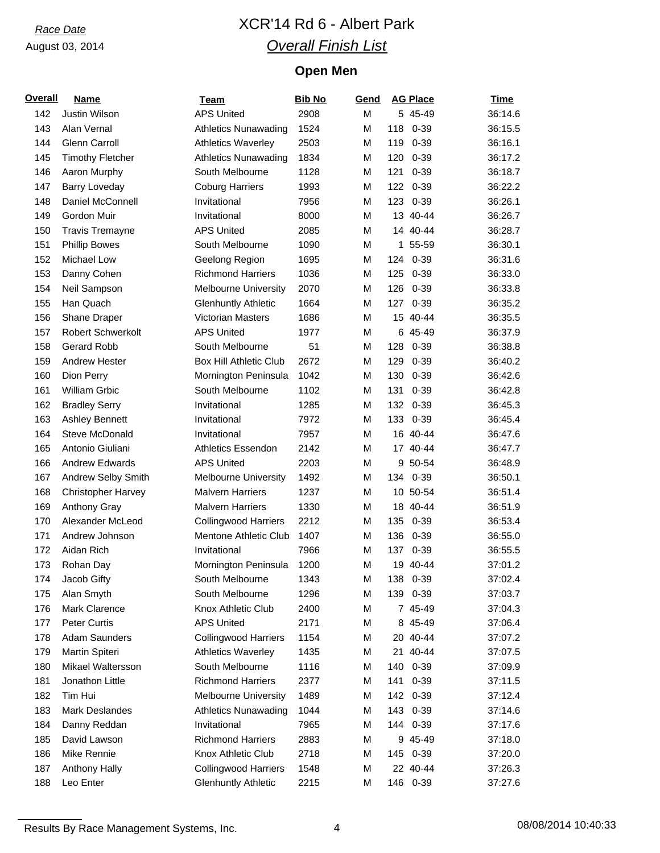# *Race Date* XCR'14 Rd 6 - Albert Park *Overall Finish List*

# **Open Men**

| <b>Overall</b> | <b>Name</b>                      | Team                          | <b>Bib No</b> | Gend |     | <b>AG Place</b> | <b>Time</b> |
|----------------|----------------------------------|-------------------------------|---------------|------|-----|-----------------|-------------|
| 142            | Justin Wilson                    | <b>APS United</b>             | 2908          | M    |     | 5 45-49         | 36:14.6     |
| 143            | Alan Vernal                      | <b>Athletics Nunawading</b>   | 1524          | M    |     | 118 0-39        | 36:15.5     |
| 144            | Glenn Carroll                    | <b>Athletics Waverley</b>     | 2503          | M    | 119 | $0 - 39$        | 36:16.1     |
| 145            | <b>Timothy Fletcher</b>          | <b>Athletics Nunawading</b>   | 1834          | M    | 120 | $0 - 39$        | 36:17.2     |
| 146            | Aaron Murphy                     | South Melbourne               | 1128          | M    | 121 | $0 - 39$        | 36:18.7     |
| 147            | <b>Barry Loveday</b>             | <b>Coburg Harriers</b>        | 1993          | M    | 122 | $0 - 39$        | 36:22.2     |
| 148            | Daniel McConnell                 | Invitational                  | 7956          | M    | 123 | $0 - 39$        | 36:26.1     |
| 149            | Gordon Muir                      | Invitational                  | 8000          | M    |     | 13 40-44        | 36:26.7     |
| 150            | <b>Travis Tremayne</b>           | <b>APS United</b>             | 2085          | M    |     | 14 40-44        | 36:28.7     |
| 151            | <b>Phillip Bowes</b>             | South Melbourne               | 1090          | M    |     | 1 55-59         | 36:30.1     |
| 152            | Michael Low                      | Geelong Region                | 1695          | M    | 124 | $0 - 39$        | 36:31.6     |
| 153            | Danny Cohen                      | <b>Richmond Harriers</b>      | 1036          | M    | 125 | $0 - 39$        | 36:33.0     |
| 154            | Neil Sampson                     | <b>Melbourne University</b>   | 2070          | M    | 126 | $0 - 39$        | 36:33.8     |
| 155            | Han Quach                        | <b>Glenhuntly Athletic</b>    | 1664          | M    | 127 | $0 - 39$        | 36:35.2     |
| 156            | Shane Draper                     | <b>Victorian Masters</b>      | 1686          | M    |     | 15 40-44        | 36:35.5     |
| 157            | <b>Robert Schwerkolt</b>         | <b>APS United</b>             | 1977          | M    |     | 6 45-49         | 36:37.9     |
| 158            | <b>Gerard Robb</b>               | South Melbourne               | 51            | M    | 128 | $0 - 39$        | 36:38.8     |
| 159            | <b>Andrew Hester</b>             | <b>Box Hill Athletic Club</b> | 2672          | M    | 129 | $0 - 39$        | 36:40.2     |
| 160            | Dion Perry                       | Mornington Peninsula          | 1042          | M    | 130 | $0 - 39$        | 36:42.6     |
| 161            | William Grbic                    | South Melbourne               | 1102          | M    | 131 | $0 - 39$        | 36:42.8     |
| 162            | <b>Bradley Serry</b>             | Invitational                  | 1285          | M    | 132 | $0 - 39$        | 36:45.3     |
| 163            | <b>Ashley Bennett</b>            | Invitational                  | 7972          | M    |     | 133 0-39        | 36:45.4     |
| 164            | Steve McDonald                   | Invitational                  | 7957          | M    |     | 16 40-44        | 36:47.6     |
| 165            | Antonio Giuliani                 | <b>Athletics Essendon</b>     | 2142          | M    |     | 17 40-44        | 36:47.7     |
| 166            | <b>Andrew Edwards</b>            | <b>APS United</b>             | 2203          | M    |     | 9 50-54         | 36:48.9     |
| 167            | Andrew Selby Smith               | <b>Melbourne University</b>   | 1492          | M    |     | 134 0-39        | 36:50.1     |
| 168            | <b>Christopher Harvey</b>        | <b>Malvern Harriers</b>       | 1237          | M    |     | 10 50-54        | 36:51.4     |
|                |                                  | <b>Malvern Harriers</b>       | 1330          | M    |     | 18 40-44        | 36:51.9     |
| 169<br>170     | Anthony Gray<br>Alexander McLeod | <b>Collingwood Harriers</b>   | 2212          | M    | 135 | $0 - 39$        | 36:53.4     |
|                |                                  | Mentone Athletic Club         |               |      |     |                 |             |
| 171            | Andrew Johnson                   |                               | 1407          | M    | 136 | $0 - 39$        | 36:55.0     |
| 172            | Aidan Rich                       | Invitational                  | 7966          | M    | 137 | $0 - 39$        | 36:55.5     |
| 173            | Rohan Day                        | Mornington Peninsula          | 1200          | M    |     | 19 40-44        | 37:01.2     |
| 174            | Jacob Gifty                      | South Melbourne               | 1343          | М    |     | 138 0-39        | 37:02.4     |
| 175            | Alan Smyth                       | South Melbourne               | 1296          | М    | 139 | $0 - 39$        | 37:03.7     |
| 176            | Mark Clarence                    | Knox Athletic Club            | 2400          | M    |     | 7 45-49         | 37:04.3     |
| 177            | <b>Peter Curtis</b>              | <b>APS United</b>             | 2171          | М    |     | 8 45-49         | 37:06.4     |
| 178            | <b>Adam Saunders</b>             | <b>Collingwood Harriers</b>   | 1154          | M    |     | 20 40-44        | 37:07.2     |
| 179            | Martin Spiteri                   | <b>Athletics Waverley</b>     | 1435          | М    |     | 21 40-44        | 37:07.5     |
| 180            | Mikael Waltersson                | South Melbourne               | 1116          | M    | 140 | $0 - 39$        | 37:09.9     |
| 181            | Jonathon Little                  | <b>Richmond Harriers</b>      | 2377          | М    | 141 | $0 - 39$        | 37:11.5     |
| 182            | Tim Hui                          | <b>Melbourne University</b>   | 1489          | M    |     | 142 0-39        | 37:12.4     |
| 183            | Mark Deslandes                   | <b>Athletics Nunawading</b>   | 1044          | M    | 143 | $0 - 39$        | 37:14.6     |
| 184            | Danny Reddan                     | Invitational                  | 7965          | M    | 144 | $0 - 39$        | 37:17.6     |
| 185            | David Lawson                     | <b>Richmond Harriers</b>      | 2883          | M    |     | 9 45-49         | 37:18.0     |
| 186            | Mike Rennie                      | Knox Athletic Club            | 2718          | М    |     | 145 0-39        | 37:20.0     |
| 187            | <b>Anthony Hally</b>             | <b>Collingwood Harriers</b>   | 1548          | М    |     | 22 40-44        | 37:26.3     |
| 188            | Leo Enter                        | <b>Glenhuntly Athletic</b>    | 2215          | M    |     | 146 0-39        | 37:27.6     |

Results By Race Management Systems, Inc. 4 68/08/2014 10:40:33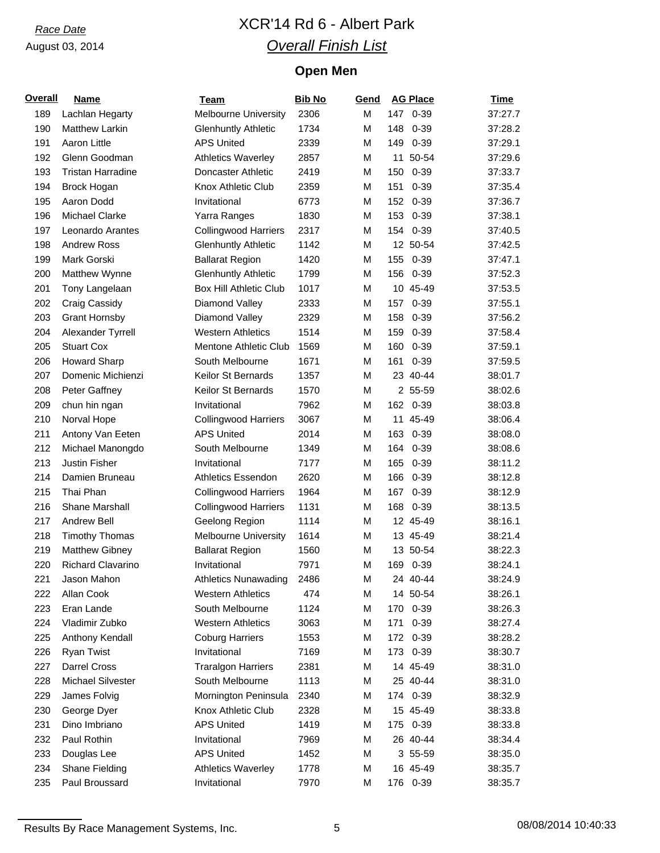# *Race Date* XCR'14 Rd 6 - Albert Park *Overall Finish List*

# **Open Men**

| <b>Overall</b> | <b>Name</b>              | Team                          | <b>Bib No</b> | Gend |     | <b>AG Place</b> | <b>Time</b> |
|----------------|--------------------------|-------------------------------|---------------|------|-----|-----------------|-------------|
| 189            | Lachlan Hegarty          | <b>Melbourne University</b>   | 2306          | М    |     | 147 0-39        | 37:27.7     |
| 190            | <b>Matthew Larkin</b>    | <b>Glenhuntly Athletic</b>    | 1734          | M    |     | 148 0-39        | 37:28.2     |
| 191            | Aaron Little             | <b>APS United</b>             | 2339          | М    | 149 | $0 - 39$        | 37:29.1     |
| 192            | Glenn Goodman            | <b>Athletics Waverley</b>     | 2857          | M    |     | 11 50-54        | 37:29.6     |
| 193            | <b>Tristan Harradine</b> | Doncaster Athletic            | 2419          | M    | 150 | 0-39            | 37:33.7     |
| 194            | Brock Hogan              | Knox Athletic Club            | 2359          | M    | 151 | $0 - 39$        | 37:35.4     |
| 195            | Aaron Dodd               | Invitational                  | 6773          | M    |     | 152 0-39        | 37:36.7     |
| 196            | Michael Clarke           | Yarra Ranges                  | 1830          | M    |     | 153 0-39        | 37:38.1     |
| 197            | Leonardo Arantes         | <b>Collingwood Harriers</b>   | 2317          | M    |     | 154 0-39        | 37:40.5     |
| 198            | Andrew Ross              | <b>Glenhuntly Athletic</b>    | 1142          | M    |     | 12 50-54        | 37:42.5     |
| 199            | Mark Gorski              | <b>Ballarat Region</b>        | 1420          | M    |     | 155 0-39        | 37:47.1     |
| 200            | Matthew Wynne            | <b>Glenhuntly Athletic</b>    | 1799          | M    |     | 156 0-39        | 37:52.3     |
| 201            | Tony Langelaan           | <b>Box Hill Athletic Club</b> | 1017          | M    |     | 10 45-49        | 37:53.5     |
| 202            | Craig Cassidy            | Diamond Valley                | 2333          | M    | 157 | $0 - 39$        | 37:55.1     |
| 203            | <b>Grant Hornsby</b>     | Diamond Valley                | 2329          | M    | 158 | $0 - 39$        | 37:56.2     |
| 204            | Alexander Tyrrell        | <b>Western Athletics</b>      | 1514          | M    | 159 | $0 - 39$        | 37:58.4     |
| 205            | <b>Stuart Cox</b>        | Mentone Athletic Club         | 1569          | M    | 160 | $0 - 39$        | 37:59.1     |
| 206            | <b>Howard Sharp</b>      | South Melbourne               | 1671          | M    | 161 | $0 - 39$        | 37:59.5     |
| 207            | Domenic Michienzi        | Keilor St Bernards            | 1357          | M    |     | 23 40-44        | 38:01.7     |
| 208            | Peter Gaffney            | Keilor St Bernards            | 1570          | M    |     | 2 55-59         | 38:02.6     |
| 209            | chun hin ngan            | Invitational                  | 7962          | M    |     | 162 0-39        | 38:03.8     |
| 210            | Norval Hope              | <b>Collingwood Harriers</b>   | 3067          | M    |     | 11 45-49        | 38:06.4     |
| 211            | Antony Van Eeten         | <b>APS United</b>             | 2014          | M    |     | 163 0-39        | 38:08.0     |
| 212            | Michael Manongdo         | South Melbourne               | 1349          | M    |     | 164 0-39        | 38:08.6     |
| 213            | Justin Fisher            | Invitational                  | 7177          | M    | 165 | $0 - 39$        | 38:11.2     |
| 214            | Damien Bruneau           | <b>Athletics Essendon</b>     | 2620          | M    | 166 | $0 - 39$        | 38:12.8     |
| 215            | Thai Phan                | <b>Collingwood Harriers</b>   | 1964          | M    | 167 | $0 - 39$        | 38:12.9     |
| 216            | Shane Marshall           | <b>Collingwood Harriers</b>   | 1131          | M    | 168 | $0 - 39$        | 38:13.5     |
| 217            | Andrew Bell              | Geelong Region                | 1114          | M    |     | 12 45-49        | 38:16.1     |
| 218            | <b>Timothy Thomas</b>    | <b>Melbourne University</b>   | 1614          | M    |     | 13 45-49        | 38:21.4     |
| 219            | Matthew Gibney           | <b>Ballarat Region</b>        | 1560          | M    |     | 13 50-54        | 38:22.3     |
| 220            | Richard Clavarino        | Invitational                  | 7971          | M    |     | 169 0-39        | 38:24.1     |
| 221            | Jason Mahon              | <b>Athletics Nunawading</b>   | 2486          | М    |     | 24 40-44        | 38:24.9     |
| 222            | Allan Cook               | <b>Western Athletics</b>      | 474           | М    |     | 14 50-54        | 38:26.1     |
| 223            | Eran Lande               | South Melbourne               | 1124          | М    |     | 170 0-39        | 38:26.3     |
| 224            | Vladimir Zubko           | <b>Western Athletics</b>      | 3063          | М    | 171 | $0 - 39$        | 38:27.4     |
| 225            | Anthony Kendall          | <b>Coburg Harriers</b>        | 1553          | М    |     | 172 0-39        | 38:28.2     |
| 226            | <b>Ryan Twist</b>        | Invitational                  | 7169          | М    |     | 173 0-39        | 38:30.7     |
| 227            | Darrel Cross             | <b>Traralgon Harriers</b>     | 2381          | М    |     | 14 45-49        | 38:31.0     |
| 228            | <b>Michael Silvester</b> | South Melbourne               | 1113          | М    |     | 25 40-44        | 38:31.0     |
| 229            | James Folvig             | Mornington Peninsula          | 2340          | Μ    |     | 174 0-39        | 38:32.9     |
| 230            | George Dyer              | Knox Athletic Club            | 2328          | М    |     | 15 45-49        | 38:33.8     |
| 231            | Dino Imbriano            | <b>APS United</b>             | 1419          | М    |     | 175 0-39        | 38:33.8     |
| 232            | Paul Rothin              | Invitational                  | 7969          | М    |     | 26 40-44        | 38:34.4     |
| 233            | Douglas Lee              | <b>APS United</b>             | 1452          | Μ    |     | 3 55-59         | 38:35.0     |
| 234            | Shane Fielding           | <b>Athletics Waverley</b>     | 1778          | Μ    |     | 16 45-49        | 38:35.7     |
| 235            | Paul Broussard           | Invitational                  | 7970          | М    |     | 176 0-39        | 38:35.7     |
|                |                          |                               |               |      |     |                 |             |

Results By Race Management Systems, Inc. 6 08/08/2014 10:40:33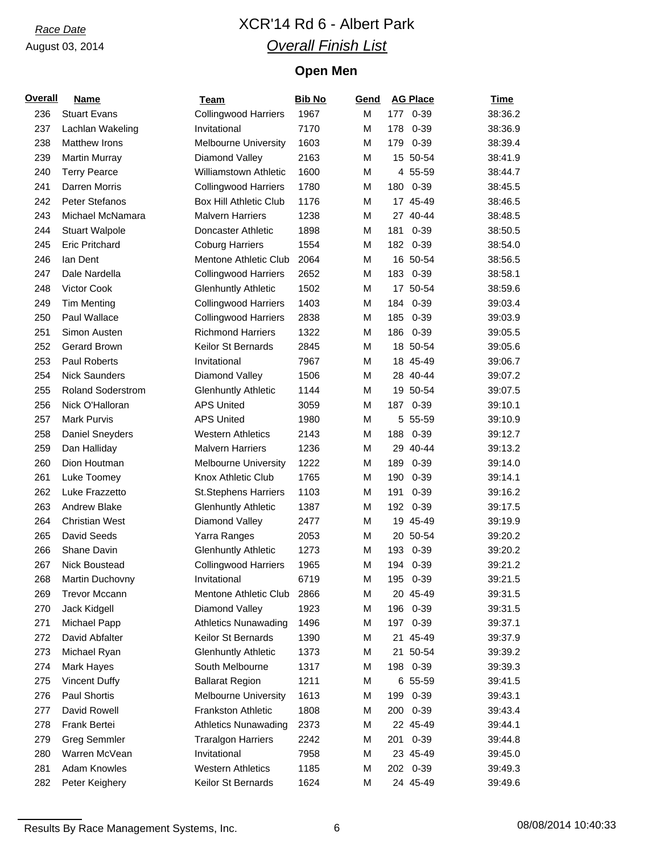# *Race Date* XCR'14 Rd 6 - Albert Park *Overall Finish List*

# **Open Men**

| <b>Overall</b> | <b>Name</b>              | Team                          | <b>Bib No</b> | Gend |     | <b>AG Place</b> | <b>Time</b> |
|----------------|--------------------------|-------------------------------|---------------|------|-----|-----------------|-------------|
| 236            | <b>Stuart Evans</b>      | <b>Collingwood Harriers</b>   | 1967          | M    |     | 177 0-39        | 38:36.2     |
| 237            | Lachlan Wakeling         | Invitational                  | 7170          | M    | 178 | $0 - 39$        | 38:36.9     |
| 238            | <b>Matthew Irons</b>     | <b>Melbourne University</b>   | 1603          | M    | 179 | $0 - 39$        | 38:39.4     |
| 239            | <b>Martin Murray</b>     | Diamond Valley                | 2163          | M    |     | 15 50-54        | 38:41.9     |
| 240            | <b>Terry Pearce</b>      | <b>Williamstown Athletic</b>  | 1600          | M    |     | 4 55-59         | 38:44.7     |
| 241            | Darren Morris            | <b>Collingwood Harriers</b>   | 1780          | M    | 180 | $0 - 39$        | 38:45.5     |
| 242            | <b>Peter Stefanos</b>    | <b>Box Hill Athletic Club</b> | 1176          | M    |     | 17 45-49        | 38:46.5     |
| 243            | Michael McNamara         | <b>Malvern Harriers</b>       | 1238          | M    |     | 27 40-44        | 38:48.5     |
| 244            | <b>Stuart Walpole</b>    | Doncaster Athletic            | 1898          | M    | 181 | $0 - 39$        | 38:50.5     |
| 245            | <b>Eric Pritchard</b>    | <b>Coburg Harriers</b>        | 1554          | M    |     | 182 0-39        | 38:54.0     |
| 246            | lan Dent                 | Mentone Athletic Club         | 2064          | M    |     | 16 50-54        | 38:56.5     |
| 247            | Dale Nardella            | <b>Collingwood Harriers</b>   | 2652          | M    | 183 | $0 - 39$        | 38:58.1     |
| 248            | Victor Cook              | <b>Glenhuntly Athletic</b>    | 1502          | M    |     | 17 50-54        | 38:59.6     |
| 249            | <b>Tim Menting</b>       | <b>Collingwood Harriers</b>   | 1403          | M    | 184 | $0 - 39$        | 39:03.4     |
| 250            | Paul Wallace             | <b>Collingwood Harriers</b>   | 2838          | M    | 185 | $0 - 39$        | 39:03.9     |
| 251            | Simon Austen             | <b>Richmond Harriers</b>      | 1322          | M    | 186 | $0 - 39$        | 39:05.5     |
| 252            | Gerard Brown             | Keilor St Bernards            | 2845          | M    |     | 18 50-54        | 39:05.6     |
| 253            | <b>Paul Roberts</b>      | Invitational                  | 7967          | M    |     | 18 45-49        | 39:06.7     |
| 254            | <b>Nick Saunders</b>     | Diamond Valley                | 1506          | M    |     | 28 40-44        | 39:07.2     |
| 255            | <b>Roland Soderstrom</b> | <b>Glenhuntly Athletic</b>    | 1144          | M    |     | 19 50-54        | 39:07.5     |
| 256            | Nick O'Halloran          | <b>APS United</b>             | 3059          | M    | 187 | $0 - 39$        | 39:10.1     |
| 257            | Mark Purvis              | <b>APS United</b>             | 1980          | M    |     | 5 55-59         | 39:10.9     |
| 258            | Daniel Sneyders          | <b>Western Athletics</b>      | 2143          | M    | 188 | $0 - 39$        | 39:12.7     |
| 259            | Dan Halliday             | <b>Malvern Harriers</b>       | 1236          | M    |     | 29 40-44        | 39:13.2     |
| 260            | Dion Houtman             | <b>Melbourne University</b>   | 1222          | M    | 189 | $0 - 39$        | 39:14.0     |
| 261            | Luke Toomey              | Knox Athletic Club            | 1765          | M    | 190 | $0 - 39$        | 39:14.1     |
| 262            | Luke Frazzetto           | <b>St.Stephens Harriers</b>   | 1103          | M    | 191 | $0 - 39$        | 39:16.2     |
| 263            | Andrew Blake             | <b>Glenhuntly Athletic</b>    | 1387          | M    | 192 | $0 - 39$        | 39:17.5     |
| 264            | <b>Christian West</b>    | Diamond Valley                | 2477          | M    |     | 19 45-49        | 39:19.9     |
| 265            | David Seeds              | Yarra Ranges                  | 2053          | M    |     | 20 50-54        | 39:20.2     |
| 266            | Shane Davin              | <b>Glenhuntly Athletic</b>    | 1273          | M    | 193 | $0 - 39$        | 39:20.2     |
| 267            | Nick Boustead            | <b>Collingwood Harriers</b>   | 1965          | M    |     | 194 0-39        | 39:21.2     |
| 268            | Martin Duchovny          | Invitational                  | 6719          | M    | 195 | 0-39            | 39:21.5     |
| 269            | <b>Trevor Mccann</b>     | <b>Mentone Athletic Club</b>  | 2866          | M    |     | 20 45-49        | 39:31.5     |
| 270            | Jack Kidgell             | Diamond Valley                | 1923          | M    | 196 | $0 - 39$        | 39:31.5     |
| 271            | Michael Papp             | <b>Athletics Nunawading</b>   | 1496          | M    |     | 197 0-39        | 39:37.1     |
| 272            | David Abfalter           | Keilor St Bernards            | 1390          | M    |     | 21 45-49        | 39:37.9     |
| 273            | Michael Ryan             | <b>Glenhuntly Athletic</b>    | 1373          | M    | 21  | 50-54           | 39:39.2     |
| 274            | Mark Hayes               | South Melbourne               | 1317          | M    | 198 | $0 - 39$        | 39:39.3     |
| 275            | <b>Vincent Duffy</b>     | <b>Ballarat Region</b>        | 1211          | M    |     | 6 55-59         | 39:41.5     |
| 276            | Paul Shortis             | <b>Melbourne University</b>   | 1613          | M    | 199 | $0 - 39$        | 39:43.1     |
| 277            | David Rowell             | <b>Frankston Athletic</b>     | 1808          | M    | 200 | $0 - 39$        | 39:43.4     |
| 278            | Frank Bertei             | <b>Athletics Nunawading</b>   | 2373          | M    |     | 22 45-49        | 39:44.1     |
| 279            | <b>Greg Semmler</b>      | <b>Traralgon Harriers</b>     | 2242          | M    | 201 | $0 - 39$        | 39:44.8     |
| 280            | Warren McVean            | Invitational                  | 7958          | M    |     | 23 45-49        | 39:45.0     |
| 281            | Adam Knowles             | <b>Western Athletics</b>      | 1185          | M    |     |                 |             |
|                |                          |                               |               |      |     | 202 0-39        | 39:49.3     |
| 282            | Peter Keighery           | Keilor St Bernards            | 1624          | M    |     | 24 45-49        | 39:49.6     |

Results By Race Management Systems, Inc. 6 08/08/2014 10:40:33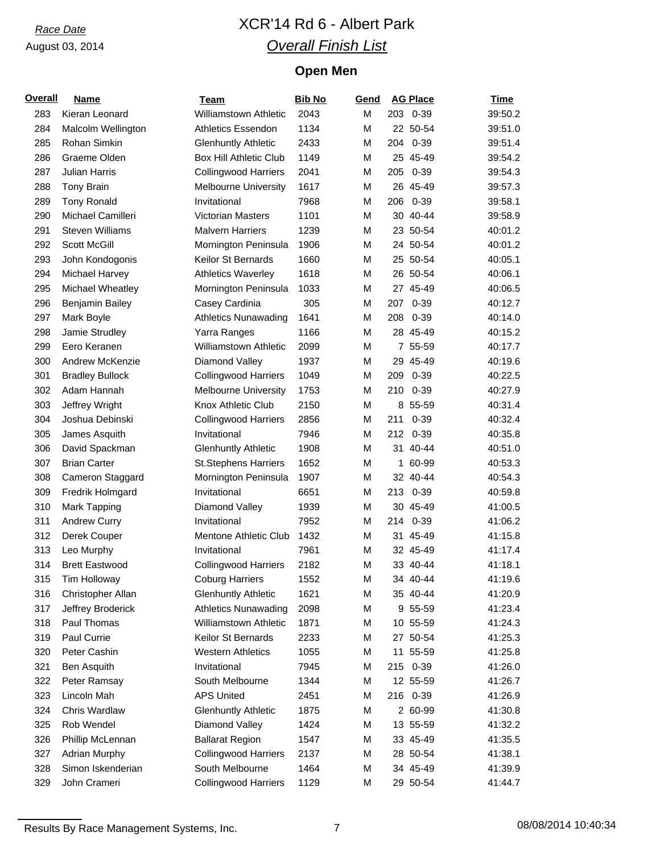# *Race Date* XCR'14 Rd 6 - Albert Park *Overall Finish List*

# **Open Men**

| <b>Overall</b> | <b>Name</b>            | <b>Team</b>                   | <b>Bib No</b> | Gend |     | <b>AG Place</b> | <b>Time</b> |
|----------------|------------------------|-------------------------------|---------------|------|-----|-----------------|-------------|
| 283            | Kieran Leonard         | <b>Williamstown Athletic</b>  | 2043          | M    |     | 203 0-39        | 39:50.2     |
| 284            | Malcolm Wellington     | Athletics Essendon            | 1134          | M    |     | 22 50-54        | 39:51.0     |
| 285            | Rohan Simkin           | <b>Glenhuntly Athletic</b>    | 2433          | M    | 204 | $0 - 39$        | 39:51.4     |
| 286            | Graeme Olden           | <b>Box Hill Athletic Club</b> | 1149          | M    |     | 25 45-49        | 39:54.2     |
| 287            | <b>Julian Harris</b>   | <b>Collingwood Harriers</b>   | 2041          | M    |     | 205 0-39        | 39:54.3     |
| 288            | Tony Brain             | <b>Melbourne University</b>   | 1617          | M    |     | 26 45-49        | 39:57.3     |
| 289            | <b>Tony Ronald</b>     | Invitational                  | 7968          | M    | 206 | $0 - 39$        | 39:58.1     |
| 290            | Michael Camilleri      | <b>Victorian Masters</b>      | 1101          | M    |     | 30 40-44        | 39:58.9     |
| 291            | <b>Steven Williams</b> | <b>Malvern Harriers</b>       | 1239          | M    |     | 23 50-54        | 40:01.2     |
| 292            | Scott McGill           | Mornington Peninsula          | 1906          | M    |     | 24 50-54        | 40:01.2     |
| 293            | John Kondogonis        | Keilor St Bernards            | 1660          | M    |     | 25 50-54        | 40:05.1     |
| 294            | Michael Harvey         | <b>Athletics Waverley</b>     | 1618          | M    |     | 26 50-54        | 40:06.1     |
| 295            | Michael Wheatley       | Mornington Peninsula          | 1033          | M    |     | 27 45-49        | 40:06.5     |
| 296            | <b>Benjamin Bailey</b> | Casey Cardinia                | 305           | M    | 207 | $0 - 39$        | 40:12.7     |
| 297            | Mark Boyle             | <b>Athletics Nunawading</b>   | 1641          | M    | 208 | $0 - 39$        | 40:14.0     |
| 298            | Jamie Strudley         | Yarra Ranges                  | 1166          | M    |     | 28 45-49        | 40:15.2     |
| 299            | Eero Keranen           | <b>Williamstown Athletic</b>  | 2099          | M    |     | 7 55-59         | 40:17.7     |
| 300            | Andrew McKenzie        | Diamond Valley                | 1937          | M    |     | 29 45-49        | 40:19.6     |
| 301            | <b>Bradley Bullock</b> | <b>Collingwood Harriers</b>   | 1049          | M    | 209 | $0 - 39$        | 40:22.5     |
| 302            | Adam Hannah            | <b>Melbourne University</b>   | 1753          | M    | 210 | $0 - 39$        | 40:27.9     |
| 303            | Jeffrey Wright         | Knox Athletic Club            | 2150          | M    |     | 8 55-59         | 40:31.4     |
| 304            | Joshua Debinski        | <b>Collingwood Harriers</b>   | 2856          | M    | 211 | $0 - 39$        | 40:32.4     |
| 305            | James Asquith          | Invitational                  | 7946          | M    |     | 212 0-39        | 40:35.8     |
| 306            | David Spackman         | <b>Glenhuntly Athletic</b>    | 1908          | M    |     | 31 40-44        | 40:51.0     |
| 307            | <b>Brian Carter</b>    | <b>St.Stephens Harriers</b>   | 1652          | M    |     | 1 60-99         | 40:53.3     |
| 308            | Cameron Staggard       | Mornington Peninsula          | 1907          | M    |     | 32 40-44        | 40:54.3     |
| 309            | Fredrik Holmgard       | Invitational                  | 6651          | M    | 213 | $0 - 39$        | 40:59.8     |
| 310            | <b>Mark Tapping</b>    | Diamond Valley                | 1939          | M    |     | 30 45-49        | 41:00.5     |
| 311            | <b>Andrew Curry</b>    | Invitational                  | 7952          | M    |     | 214 0-39        | 41:06.2     |
| 312            | Derek Couper           | Mentone Athletic Club         | 1432          | M    |     | 31 45-49        | 41:15.8     |
| 313            | Leo Murphy             | Invitational                  | 7961          | M    |     | 32 45-49        | 41:17.4     |
| 314            | <b>Brett Eastwood</b>  | <b>Collingwood Harriers</b>   | 2182          | М    |     | 33 40-44        | 41:18.1     |
| 315            | Tim Holloway           | <b>Coburg Harriers</b>        | 1552          | М    |     | 34 40-44        | 41:19.6     |
| 316            | Christopher Allan      | <b>Glenhuntly Athletic</b>    | 1621          | М    |     | 35 40-44        | 41:20.9     |
| 317            | Jeffrey Broderick      | <b>Athletics Nunawading</b>   | 2098          | М    |     | 9 55-59         | 41:23.4     |
| 318            | Paul Thomas            | <b>Williamstown Athletic</b>  | 1871          | М    |     | 10 55-59        | 41:24.3     |
| 319            | Paul Currie            | Keilor St Bernards            | 2233          | М    |     | 27 50-54        | 41:25.3     |
| 320            | Peter Cashin           | <b>Western Athletics</b>      | 1055          | М    |     | 11 55-59        | 41:25.8     |
| 321            | Ben Asquith            | Invitational                  | 7945          | М    |     | 215 0-39        | 41:26.0     |
| 322            | Peter Ramsay           | South Melbourne               | 1344          | М    |     | 12 55-59        | 41:26.7     |
| 323            | Lincoln Mah            | <b>APS United</b>             | 2451          | М    |     | 216 0-39        | 41:26.9     |
| 324            | Chris Wardlaw          | <b>Glenhuntly Athletic</b>    | 1875          | M    |     | 2 60-99         | 41:30.8     |
| 325            | Rob Wendel             | Diamond Valley                | 1424          | М    |     | 13 55-59        | 41:32.2     |
| 326            | Phillip McLennan       | <b>Ballarat Region</b>        | 1547          | М    |     | 33 45-49        | 41:35.5     |
| 327            | <b>Adrian Murphy</b>   | <b>Collingwood Harriers</b>   | 2137          | М    |     | 28 50-54        | 41:38.1     |
| 328            | Simon Iskenderian      | South Melbourne               | 1464          | М    |     | 34 45-49        | 41:39.9     |
| 329            | John Crameri           | <b>Collingwood Harriers</b>   | 1129          | М    |     | 29 50-54        | 41:44.7     |
|                |                        |                               |               |      |     |                 |             |

Results By Race Management Systems, Inc. 7 7 7 08/08/2014 10:40:34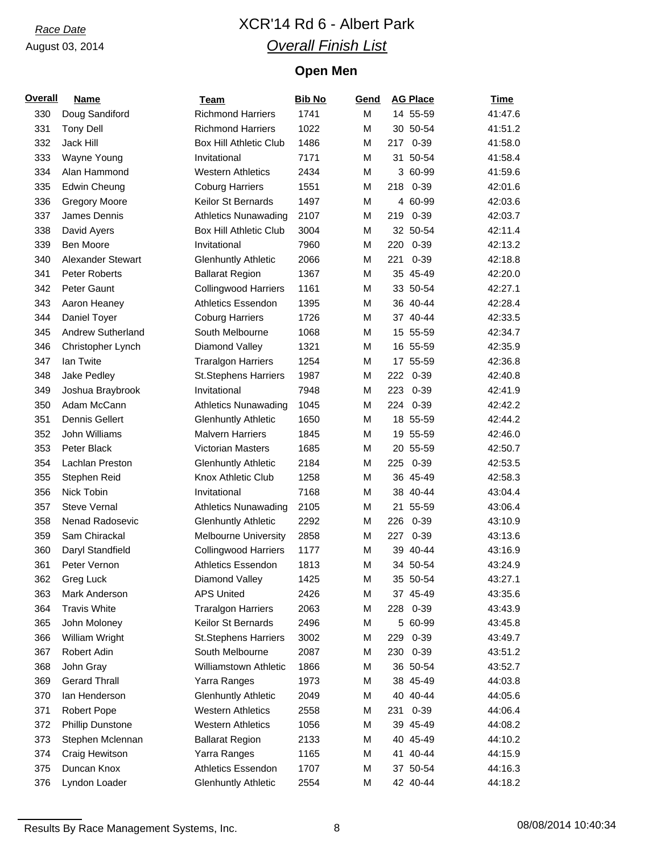# *Race Date* XCR'14 Rd 6 - Albert Park *Overall Finish List*

# **Open Men**

| <b>Overall</b> | <b>Name</b>             | <b>Team</b>                   | <b>Bib No</b> | Gend |     | <b>AG Place</b> | <b>Time</b> |
|----------------|-------------------------|-------------------------------|---------------|------|-----|-----------------|-------------|
| 330            | Doug Sandiford          | <b>Richmond Harriers</b>      | 1741          | M    |     | 14 55-59        | 41:47.6     |
| 331            | <b>Tony Dell</b>        | <b>Richmond Harriers</b>      | 1022          | M    |     | 30 50-54        | 41:51.2     |
| 332            | Jack Hill               | <b>Box Hill Athletic Club</b> | 1486          | M    | 217 | $0 - 39$        | 41:58.0     |
| 333            | Wayne Young             | Invitational                  | 7171          | M    |     | 31 50-54        | 41:58.4     |
| 334            | Alan Hammond            | <b>Western Athletics</b>      | 2434          | M    |     | 3 60-99         | 41:59.6     |
| 335            | <b>Edwin Cheung</b>     | <b>Coburg Harriers</b>        | 1551          | M    |     | 218 0-39        | 42:01.6     |
| 336            | <b>Gregory Moore</b>    | Keilor St Bernards            | 1497          | M    |     | 4 60-99         | 42:03.6     |
| 337            | James Dennis            | <b>Athletics Nunawading</b>   | 2107          | M    | 219 | $0 - 39$        | 42:03.7     |
| 338            | David Ayers             | <b>Box Hill Athletic Club</b> | 3004          | M    |     | 32 50-54        | 42:11.4     |
| 339            | Ben Moore               | Invitational                  | 7960          | M    |     | 220 0-39        | 42:13.2     |
| 340            | Alexander Stewart       | <b>Glenhuntly Athletic</b>    | 2066          | M    | 221 | $0 - 39$        | 42:18.8     |
| 341            | Peter Roberts           | <b>Ballarat Region</b>        | 1367          | M    |     | 35 45-49        | 42:20.0     |
| 342            | Peter Gaunt             | <b>Collingwood Harriers</b>   | 1161          | M    |     | 33 50-54        | 42:27.1     |
| 343            | Aaron Heaney            | Athletics Essendon            | 1395          | M    |     | 36 40-44        | 42:28.4     |
| 344            | Daniel Toyer            | <b>Coburg Harriers</b>        | 1726          | M    |     | 37 40-44        | 42:33.5     |
| 345            | Andrew Sutherland       | South Melbourne               | 1068          | M    |     | 15 55-59        | 42:34.7     |
| 346            | Christopher Lynch       | Diamond Valley                | 1321          | M    |     | 16 55-59        | 42:35.9     |
| 347            | lan Twite               | <b>Traralgon Harriers</b>     | 1254          | M    |     | 17 55-59        | 42:36.8     |
| 348            | Jake Pedley             | <b>St.Stephens Harriers</b>   | 1987          | M    |     | 222 0-39        | 42:40.8     |
| 349            | Joshua Braybrook        | Invitational                  | 7948          | M    |     | 223 0-39        | 42:41.9     |
| 350            | Adam McCann             | <b>Athletics Nunawading</b>   | 1045          | M    | 224 | $0 - 39$        | 42:42.2     |
| 351            | <b>Dennis Gellert</b>   | <b>Glenhuntly Athletic</b>    | 1650          | M    |     | 18 55-59        | 42:44.2     |
| 352            | John Williams           | <b>Malvern Harriers</b>       | 1845          | M    |     | 19 55-59        | 42:46.0     |
| 353            | Peter Black             | Victorian Masters             | 1685          | M    |     | 20 55-59        | 42:50.7     |
| 354            | Lachlan Preston         | <b>Glenhuntly Athletic</b>    | 2184          | M    |     | 225 0-39        | 42:53.5     |
| 355            | Stephen Reid            | Knox Athletic Club            | 1258          | M    |     | 36 45-49        | 42:58.3     |
| 356            | Nick Tobin              | Invitational                  | 7168          | M    |     | 38 40-44        | 43:04.4     |
| 357            | <b>Steve Vernal</b>     | <b>Athletics Nunawading</b>   | 2105          | M    |     | 21 55-59        | 43:06.4     |
| 358            | Nenad Radosevic         | <b>Glenhuntly Athletic</b>    | 2292          | M    | 226 | $0 - 39$        | 43:10.9     |
| 359            | Sam Chirackal           | <b>Melbourne University</b>   | 2858          | M    | 227 | $0 - 39$        | 43:13.6     |
| 360            | Daryl Standfield        | <b>Collingwood Harriers</b>   | 1177          | M    |     | 39 40-44        | 43:16.9     |
| 361            | Peter Vernon            | <b>Athletics Essendon</b>     | 1813          | M    |     | 34 50-54        | 43:24.9     |
| 362            | Greg Luck               | Diamond Valley                | 1425          | М    |     | 35 50-54        | 43:27.1     |
| 363            | Mark Anderson           | <b>APS United</b>             | 2426          | Μ    |     | 37 45-49        | 43:35.6     |
| 364            | <b>Travis White</b>     | <b>Traralgon Harriers</b>     | 2063          | M    | 228 | $0 - 39$        | 43:43.9     |
| 365            | John Moloney            | Keilor St Bernards            | 2496          | M    |     | 5 60-99         | 43:45.8     |
| 366            | William Wright          | <b>St.Stephens Harriers</b>   | 3002          | М    | 229 | $0 - 39$        | 43:49.7     |
| 367            | Robert Adin             | South Melbourne               | 2087          | M    | 230 | $0 - 39$        | 43:51.2     |
| 368            | John Gray               | Williamstown Athletic         | 1866          | М    |     | 36 50-54        | 43:52.7     |
| 369            | <b>Gerard Thrall</b>    | Yarra Ranges                  | 1973          | Μ    |     | 38 45-49        | 44:03.8     |
| 370            | lan Henderson           | <b>Glenhuntly Athletic</b>    | 2049          | М    |     | 40 40-44        | 44:05.6     |
| 371            | <b>Robert Pope</b>      | <b>Western Athletics</b>      | 2558          | М    | 231 | $0 - 39$        | 44:06.4     |
| 372            | <b>Phillip Dunstone</b> | <b>Western Athletics</b>      | 1056          | M    |     | 39 45-49        | 44:08.2     |
| 373            | Stephen Mclennan        | <b>Ballarat Region</b>        | 2133          | М    |     | 40 45-49        | 44:10.2     |
| 374            | Craig Hewitson          | Yarra Ranges                  | 1165          | м    |     | 41 40-44        | 44:15.9     |
| 375            | Duncan Knox             | <b>Athletics Essendon</b>     | 1707          | М    |     | 37 50-54        | 44:16.3     |
| 376            | Lyndon Loader           | <b>Glenhuntly Athletic</b>    | 2554          | M    |     | 42 40-44        | 44:18.2     |
|                |                         |                               |               |      |     |                 |             |

Results By Race Management Systems, Inc. 68 08/08/2014 10:40:34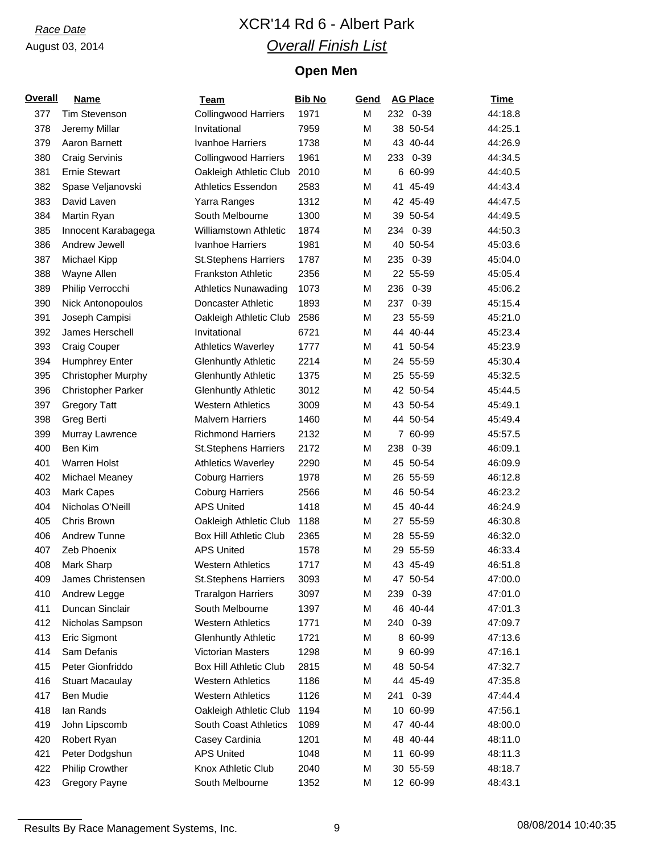# *Race Date* XCR'14 Rd 6 - Albert Park *Overall Finish List*

# **Open Men**

| <b>Overall</b> | <b>Name</b>               | <b>Team</b>                   | <b>Bib No</b> | Gend |     | <b>AG Place</b> | <b>Time</b> |
|----------------|---------------------------|-------------------------------|---------------|------|-----|-----------------|-------------|
| 377            | <b>Tim Stevenson</b>      | <b>Collingwood Harriers</b>   | 1971          | M    |     | 232 0-39        | 44:18.8     |
| 378            | Jeremy Millar             | Invitational                  | 7959          | M    |     | 38 50-54        | 44:25.1     |
| 379            | Aaron Barnett             | Ivanhoe Harriers              | 1738          | M    |     | 43 40-44        | 44:26.9     |
| 380            | <b>Craig Servinis</b>     | <b>Collingwood Harriers</b>   | 1961          | M    | 233 | $0 - 39$        | 44:34.5     |
| 381            | <b>Ernie Stewart</b>      | Oakleigh Athletic Club        | 2010          | M    |     | 6 60-99         | 44:40.5     |
| 382            | Spase Veljanovski         | <b>Athletics Essendon</b>     | 2583          | M    |     | 41 45-49        | 44:43.4     |
| 383            | David Laven               | Yarra Ranges                  | 1312          | M    |     | 42 45-49        | 44:47.5     |
| 384            | Martin Ryan               | South Melbourne               | 1300          | M    |     | 39 50-54        | 44:49.5     |
| 385            | Innocent Karabagega       | <b>Williamstown Athletic</b>  | 1874          | M    | 234 | $0 - 39$        | 44:50.3     |
| 386            | Andrew Jewell             | Ivanhoe Harriers              | 1981          | M    |     | 40 50-54        | 45:03.6     |
| 387            | Michael Kipp              | <b>St.Stephens Harriers</b>   | 1787          | M    | 235 | $0 - 39$        | 45:04.0     |
| 388            | Wayne Allen               | <b>Frankston Athletic</b>     | 2356          | M    |     | 22 55-59        | 45:05.4     |
| 389            | Philip Verrocchi          | <b>Athletics Nunawading</b>   | 1073          | M    | 236 | $0 - 39$        | 45:06.2     |
| 390            | Nick Antonopoulos         | <b>Doncaster Athletic</b>     | 1893          | M    | 237 | $0 - 39$        | 45:15.4     |
| 391            | Joseph Campisi            | Oakleigh Athletic Club        | 2586          | M    |     | 23 55-59        | 45:21.0     |
| 392            | James Herschell           | Invitational                  | 6721          | M    |     | 44 40-44        | 45:23.4     |
| 393            | Craig Couper              | <b>Athletics Waverley</b>     | 1777          | M    |     | 41 50-54        | 45:23.9     |
| 394            | <b>Humphrey Enter</b>     | <b>Glenhuntly Athletic</b>    | 2214          | M    |     | 24 55-59        | 45:30.4     |
| 395            | <b>Christopher Murphy</b> | <b>Glenhuntly Athletic</b>    | 1375          | M    |     | 25 55-59        | 45:32.5     |
| 396            | <b>Christopher Parker</b> | <b>Glenhuntly Athletic</b>    | 3012          | M    |     | 42 50-54        | 45:44.5     |
| 397            | <b>Gregory Tatt</b>       | <b>Western Athletics</b>      | 3009          | M    |     | 43 50-54        | 45:49.1     |
| 398            | Greg Berti                | <b>Malvern Harriers</b>       | 1460          | M    |     | 44 50-54        | 45:49.4     |
| 399            | Murray Lawrence           | <b>Richmond Harriers</b>      | 2132          | M    |     | 7 60-99         | 45:57.5     |
| 400            | Ben Kim                   | <b>St.Stephens Harriers</b>   | 2172          | M    | 238 | $0 - 39$        | 46:09.1     |
| 401            | <b>Warren Holst</b>       | <b>Athletics Waverley</b>     | 2290          | M    |     | 45 50-54        | 46:09.9     |
| 402            | Michael Meaney            | <b>Coburg Harriers</b>        | 1978          | M    |     | 26 55-59        | 46:12.8     |
| 403            | <b>Mark Capes</b>         | <b>Coburg Harriers</b>        | 2566          | M    |     | 46 50-54        | 46:23.2     |
| 404            | Nicholas O'Neill          | <b>APS United</b>             | 1418          | M    |     | 45 40-44        | 46:24.9     |
| 405            | Chris Brown               | Oakleigh Athletic Club        | 1188          | M    |     | 27 55-59        | 46:30.8     |
| 406            | Andrew Tunne              | <b>Box Hill Athletic Club</b> | 2365          | M    |     | 28 55-59        | 46:32.0     |
| 407            | Zeb Phoenix               | <b>APS United</b>             | 1578          | M    |     | 29 55-59        | 46:33.4     |
| 408            | Mark Sharp                | <b>Western Athletics</b>      | 1717          | M    |     | 43 45-49        | 46:51.8     |
| 409            | James Christensen         | <b>St.Stephens Harriers</b>   | 3093          | М    |     | 47 50-54        | 47:00.0     |
| 410            | Andrew Legge              | <b>Traralgon Harriers</b>     | 3097          | M    | 239 | $0 - 39$        | 47:01.0     |
| 411            | Duncan Sinclair           | South Melbourne               | 1397          | M    |     | 46 40-44        | 47:01.3     |
| 412            | Nicholas Sampson          | <b>Western Athletics</b>      | 1771          | M    | 240 | $0 - 39$        | 47:09.7     |
| 413            | Eric Sigmont              | <b>Glenhuntly Athletic</b>    | 1721          | M    |     | 8 60-99         | 47:13.6     |
| 414            | Sam Defanis               | <b>Victorian Masters</b>      | 1298          | M    |     | 9 60-99         | 47:16.1     |
| 415            | Peter Gionfriddo          | <b>Box Hill Athletic Club</b> | 2815          | M    |     | 48 50-54        | 47:32.7     |
| 416            | <b>Stuart Macaulay</b>    | <b>Western Athletics</b>      | 1186          | M    |     | 44 45-49        | 47:35.8     |
| 417            | Ben Mudie                 | <b>Western Athletics</b>      | 1126          | M    | 241 | $0 - 39$        | 47:44.4     |
| 418            | lan Rands                 | Oakleigh Athletic Club        | 1194          | M    |     | 10 60-99        | 47:56.1     |
| 419            | John Lipscomb             | South Coast Athletics         | 1089          | M    |     | 47 40-44        | 48:00.0     |
| 420            | Robert Ryan               | Casey Cardinia                | 1201          | M    |     | 48 40-44        | 48:11.0     |
| 421            | Peter Dodgshun            | <b>APS United</b>             | 1048          | M    |     | 11 60-99        | 48:11.3     |
| 422            | <b>Philip Crowther</b>    | Knox Athletic Club            | 2040          | M    |     | 30 55-59        | 48:18.7     |
| 423            | <b>Gregory Payne</b>      | South Melbourne               | 1352          | M    |     | 12 60-99        | 48:43.1     |

Results By Race Management Systems, Inc. 2012 08/08/2014 10:40:35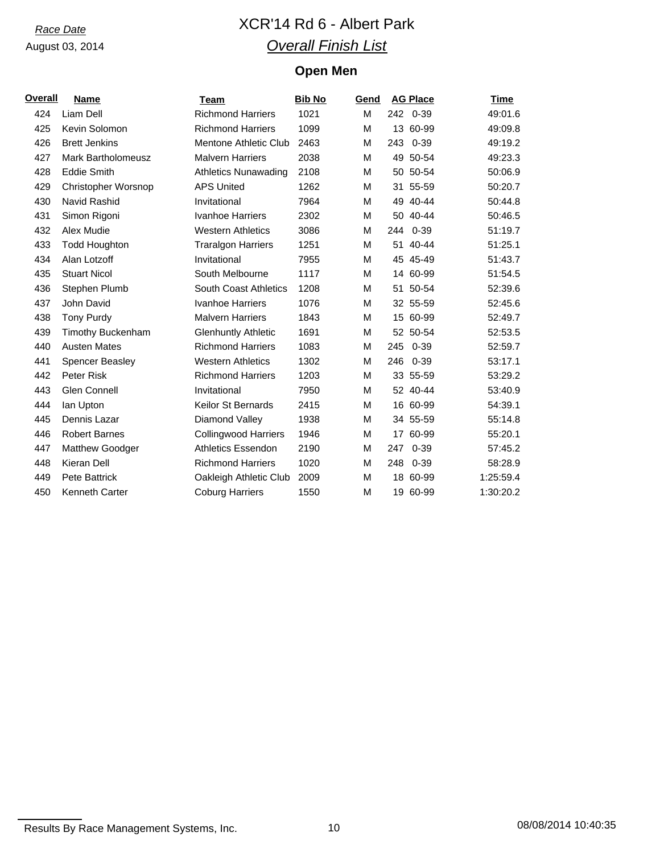# *Race Date* XCR'14 Rd 6 - Albert Park *Overall Finish List*

# **Open Men**

| <u>Overall</u> | <b>Name</b>                | Team                         | <b>Bib No</b> | Gend |     | <b>AG Place</b> | <b>Time</b> |
|----------------|----------------------------|------------------------------|---------------|------|-----|-----------------|-------------|
| 424            | Liam Dell                  | <b>Richmond Harriers</b>     | 1021          | M    |     | 242 0-39        | 49:01.6     |
| 425            | Kevin Solomon              | <b>Richmond Harriers</b>     | 1099          | М    |     | 13 60-99        | 49:09.8     |
| 426            | <b>Brett Jenkins</b>       | Mentone Athletic Club        | 2463          | м    | 243 | $0 - 39$        | 49:19.2     |
| 427            | Mark Bartholomeusz         | <b>Malvern Harriers</b>      | 2038          | M    |     | 49 50-54        | 49:23.3     |
| 428            | <b>Eddie Smith</b>         | <b>Athletics Nunawading</b>  | 2108          | м    |     | 50 50-54        | 50:06.9     |
| 429            | <b>Christopher Worsnop</b> | <b>APS United</b>            | 1262          | м    |     | 31 55-59        | 50:20.7     |
| 430            | Navid Rashid               | Invitational                 | 7964          | М    |     | 49 40-44        | 50:44.8     |
| 431            | Simon Rigoni               | Ivanhoe Harriers             | 2302          | M    |     | 50 40-44        | 50:46.5     |
| 432            | Alex Mudie                 | <b>Western Athletics</b>     | 3086          | м    |     | 244 0-39        | 51:19.7     |
| 433            | <b>Todd Houghton</b>       | <b>Traralgon Harriers</b>    | 1251          | м    |     | 51 40-44        | 51:25.1     |
| 434            | Alan Lotzoff               | Invitational                 | 7955          | м    |     | 45 45-49        | 51:43.7     |
| 435            | <b>Stuart Nicol</b>        | South Melbourne              | 1117          | м    |     | 14 60-99        | 51:54.5     |
| 436            | Stephen Plumb              | <b>South Coast Athletics</b> | 1208          | M    |     | 51 50-54        | 52:39.6     |
| 437            | John David                 | Ivanhoe Harriers             | 1076          | м    |     | 32 55-59        | 52:45.6     |
| 438            | <b>Tony Purdy</b>          | <b>Malvern Harriers</b>      | 1843          | м    |     | 15 60-99        | 52:49.7     |
| 439            | <b>Timothy Buckenham</b>   | <b>Glenhuntly Athletic</b>   | 1691          | M    |     | 52 50-54        | 52:53.5     |
| 440            | <b>Austen Mates</b>        | <b>Richmond Harriers</b>     | 1083          | м    | 245 | $0 - 39$        | 52:59.7     |
| 441            | Spencer Beasley            | <b>Western Athletics</b>     | 1302          | м    | 246 | $0 - 39$        | 53:17.1     |
| 442            | Peter Risk                 | <b>Richmond Harriers</b>     | 1203          | м    |     | 33 55-59        | 53:29.2     |
| 443            | Glen Connell               | Invitational                 | 7950          | м    |     | 52 40-44        | 53:40.9     |
| 444            | lan Upton                  | <b>Keilor St Bernards</b>    | 2415          | м    |     | 16 60-99        | 54:39.1     |
| 445            | Dennis Lazar               | Diamond Valley               | 1938          | M    |     | 34 55-59        | 55:14.8     |
| 446            | <b>Robert Barnes</b>       | <b>Collingwood Harriers</b>  | 1946          | м    |     | 17 60-99        | 55:20.1     |
| 447            | <b>Matthew Goodger</b>     | Athletics Essendon           | 2190          | М    | 247 | $0 - 39$        | 57:45.2     |
| 448            | Kieran Dell                | <b>Richmond Harriers</b>     | 1020          | м    |     | 248 0-39        | 58:28.9     |
| 449            | <b>Pete Battrick</b>       | Oakleigh Athletic Club       | 2009          | м    |     | 18 60-99        | 1:25:59.4   |
| 450            | Kenneth Carter             | <b>Coburg Harriers</b>       | 1550          | М    |     | 19 60-99        | 1:30:20.2   |

Results By Race Management Systems, Inc. 10 10 10 08/08/2014 10:40:35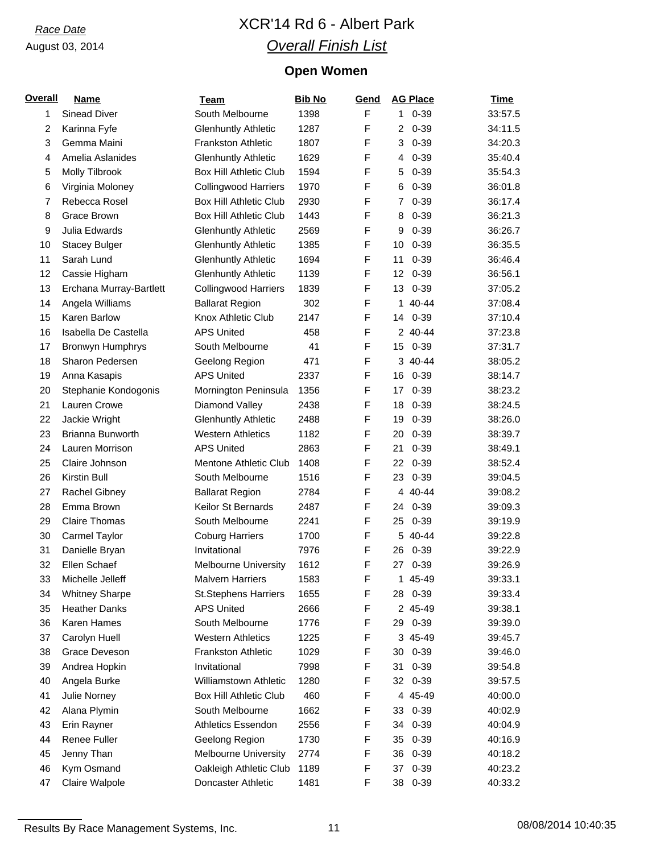# *Race Date* XCR'14 Rd 6 - Albert Park *Overall Finish List*

# **Open Women**

| <b>Overall</b> | <b>Name</b>             | <b>Team</b>                                            | <b>Bib No</b> | Gend        | <b>AG Place</b>             | <b>Time</b> |
|----------------|-------------------------|--------------------------------------------------------|---------------|-------------|-----------------------------|-------------|
| 1              | <b>Sinead Diver</b>     | South Melbourne                                        | 1398          | F           | $0 - 39$<br>1.              | 33:57.5     |
| 2              | Karinna Fyfe            | <b>Glenhuntly Athletic</b>                             | 1287          | F           | $0 - 39$<br>2               | 34:11.5     |
| 3              | Gemma Maini             | <b>Frankston Athletic</b>                              | 1807          | F           | $0 - 39$<br>3               | 34:20.3     |
| 4              | Amelia Aslanides        | <b>Glenhuntly Athletic</b>                             | 1629          | F           | $0 - 39$<br>4               | 35:40.4     |
| 5              | Molly Tilbrook          | <b>Box Hill Athletic Club</b>                          | 1594          | F           | $0 - 39$<br>5               | 35:54.3     |
| 6              | Virginia Moloney        | <b>Collingwood Harriers</b>                            | 1970          | F           | $0 - 39$<br>6               | 36:01.8     |
| 7              | Rebecca Rosel           | <b>Box Hill Athletic Club</b>                          | 2930          | F           | $0 - 39$<br>7               | 36:17.4     |
| 8              | Grace Brown             | <b>Box Hill Athletic Club</b>                          | 1443          | F           | $0 - 39$<br>8               | 36:21.3     |
| 9              | Julia Edwards           | <b>Glenhuntly Athletic</b>                             | 2569          | F           | $0 - 39$<br>9               | 36:26.7     |
| 10             | <b>Stacey Bulger</b>    | <b>Glenhuntly Athletic</b>                             | 1385          | F           | $0 - 39$<br>10              | 36:35.5     |
| 11             | Sarah Lund              | <b>Glenhuntly Athletic</b>                             | 1694          | F           | $0 - 39$<br>11              | 36:46.4     |
| 12             | Cassie Higham           | <b>Glenhuntly Athletic</b>                             | 1139          | F           | $0 - 39$<br>12 <sup>°</sup> | 36:56.1     |
| 13             | Erchana Murray-Bartlett | <b>Collingwood Harriers</b>                            | 1839          | F           | $0 - 39$<br>13              | 37:05.2     |
| 14             | Angela Williams         | <b>Ballarat Region</b>                                 | 302           | F           | 1 40-44                     | 37:08.4     |
| 15             | Karen Barlow            | Knox Athletic Club                                     | 2147          | F           | $0 - 39$<br>14              | 37:10.4     |
| 16             | Isabella De Castella    | <b>APS United</b>                                      | 458           | F           | 2 40-44                     | 37:23.8     |
| 17             | Bronwyn Humphrys        | South Melbourne                                        | 41            | F           | 15<br>$0 - 39$              | 37:31.7     |
| 18             | Sharon Pedersen         | Geelong Region                                         | 471           | F           | 3 40-44                     | 38:05.2     |
| 19             | Anna Kasapis            | <b>APS United</b>                                      | 2337          | F           | $0 - 39$<br>16              | 38:14.7     |
| 20             | Stephanie Kondogonis    | Mornington Peninsula                                   | 1356          | F           | $0 - 39$<br>17              | 38:23.2     |
| 21             | Lauren Crowe            | Diamond Valley                                         | 2438          | F           | $0 - 39$<br>18              | 38:24.5     |
| 22             | Jackie Wright           | <b>Glenhuntly Athletic</b>                             | 2488          | F           | $0 - 39$<br>19              | 38:26.0     |
| 23             | Brianna Bunworth        | <b>Western Athletics</b>                               | 1182          | F           | $0 - 39$<br>20              | 38:39.7     |
| 24             | Lauren Morrison         | <b>APS United</b>                                      | 2863          | F           | $0 - 39$<br>21              | 38:49.1     |
| 25             | Claire Johnson          | Mentone Athletic Club                                  | 1408          | F           | 22<br>$0 - 39$              | 38:52.4     |
| 26             | Kirstin Bull            | South Melbourne                                        | 1516          | F           | $0 - 39$<br>23              | 39:04.5     |
| 27             | Rachel Gibney           | <b>Ballarat Region</b>                                 | 2784          | F           | 4 40-44                     | 39:08.2     |
| 28             | Emma Brown              | Keilor St Bernards                                     | 2487          | F           | $0 - 39$<br>24              | 39:09.3     |
| 29             | <b>Claire Thomas</b>    | South Melbourne                                        | 2241          | F           | $0 - 39$<br>25              | 39:19.9     |
| 30             | Carmel Taylor           | <b>Coburg Harriers</b>                                 | 1700          | F           | 40-44<br>5                  | 39:22.8     |
| 31             | Danielle Bryan          | Invitational                                           | 7976          | F           | $0 - 39$<br>26              | 39:22.9     |
| 32             | Ellen Schaef            |                                                        | 1612          | F           | 27 0-39                     | 39:26.9     |
|                |                         | <b>Melbourne University</b><br><b>Malvern Harriers</b> |               | $\mathsf F$ |                             |             |
| 33             | Michelle Jelleff        |                                                        | 1583          |             | 45-49<br>1                  | 39:33.1     |
| 34             | <b>Whitney Sharpe</b>   | <b>St.Stephens Harriers</b>                            | 1655          | F<br>F      | $0 - 39$<br>28              | 39:33.4     |
| 35             | <b>Heather Danks</b>    | <b>APS United</b>                                      | 2666          |             | 2 45-49                     | 39:38.1     |
| 36             | Karen Hames             | South Melbourne                                        | 1776          | F           | $0 - 39$<br>29              | 39:39.0     |
| 37             | Carolyn Huell           | <b>Western Athletics</b>                               | 1225          | F           | 3 45-49                     | 39:45.7     |
| 38             | Grace Deveson           | <b>Frankston Athletic</b>                              | 1029          | F           | $0 - 39$<br>30              | 39:46.0     |
| 39             | Andrea Hopkin           | Invitational                                           | 7998          | F           | $0 - 39$<br>31              | 39:54.8     |
| 40             | Angela Burke            | Williamstown Athletic                                  | 1280          | F           | $0 - 39$<br>32              | 39:57.5     |
| 41             | Julie Norney            | <b>Box Hill Athletic Club</b>                          | 460           | F           | 4 45-49                     | 40:00.0     |
| 42             | Alana Plymin            | South Melbourne                                        | 1662          | F           | 33<br>$0 - 39$              | 40:02.9     |
| 43             | Erin Rayner             | Athletics Essendon                                     | 2556          | F           | $0 - 39$<br>34              | 40:04.9     |
| 44             | Renee Fuller            | Geelong Region                                         | 1730          | F           | $0 - 39$<br>35              | 40:16.9     |
| 45             | Jenny Than              | <b>Melbourne University</b>                            | 2774          | F           | $0 - 39$<br>36              | 40:18.2     |
| 46             | Kym Osmand              | Oakleigh Athletic Club                                 | 1189          | F           | $0 - 39$<br>37              | 40:23.2     |
| 47             | Claire Walpole          | Doncaster Athletic                                     | 1481          | F           | $0 - 39$<br>38              | 40:33.2     |

Results By Race Management Systems, Inc. 11 1 1 1 08/08/2014 10:40:35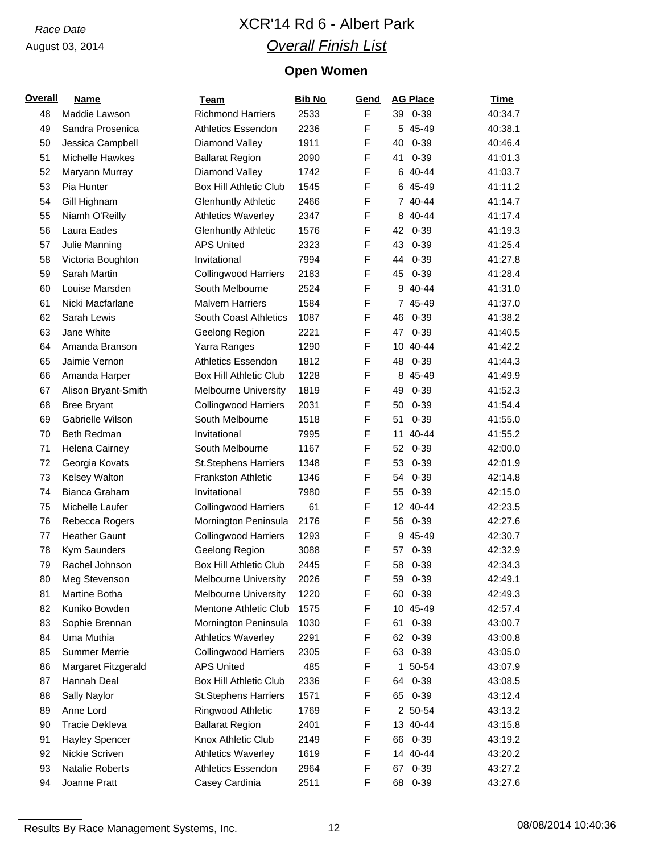# *Race Date* XCR'14 Rd 6 - Albert Park *Overall Finish List*

# **Open Women**

| <b>Overall</b> | <b>Name</b>                        | <b>Team</b>                   | <b>Bib No</b> | Gend        | <b>AG Place</b> | <b>Time</b> |
|----------------|------------------------------------|-------------------------------|---------------|-------------|-----------------|-------------|
| 48             | Maddie Lawson                      | <b>Richmond Harriers</b>      | 2533          | $\mathsf F$ | 39 0-39         | 40:34.7     |
| 49             | Sandra Prosenica                   | <b>Athletics Essendon</b>     | 2236          | F           | 5 45-49         | 40:38.1     |
| 50             | Jessica Campbell                   | Diamond Valley                | 1911          | F           | 40<br>$0 - 39$  | 40:46.4     |
| 51             | <b>Michelle Hawkes</b>             | <b>Ballarat Region</b>        | 2090          | F           | $0 - 39$<br>41  | 41:01.3     |
| 52             | Maryann Murray                     | Diamond Valley                | 1742          | F           | 40-44<br>6      | 41:03.7     |
| 53             | Pia Hunter                         | <b>Box Hill Athletic Club</b> | 1545          | F           | 6 45-49         | 41:11.2     |
| 54             | Gill Highnam                       | <b>Glenhuntly Athletic</b>    | 2466          | F           | 7 40-44         | 41:14.7     |
| 55             | Niamh O'Reilly                     | <b>Athletics Waverley</b>     | 2347          | F           | 8 40-44         | 41:17.4     |
| 56             | Laura Eades                        | <b>Glenhuntly Athletic</b>    | 1576          | F           | 42<br>$0 - 39$  | 41:19.3     |
| 57             | Julie Manning                      | <b>APS United</b>             | 2323          | F           | 43<br>$0 - 39$  | 41:25.4     |
| 58             | Victoria Boughton                  | Invitational                  | 7994          | F           | $0 - 39$<br>44  | 41:27.8     |
| 59             | Sarah Martin                       | <b>Collingwood Harriers</b>   | 2183          | F           | $0 - 39$<br>45  | 41:28.4     |
| 60             | Louise Marsden                     | South Melbourne               | 2524          | F           | 9 40-44         | 41:31.0     |
| 61             | Nicki Macfarlane                   | <b>Malvern Harriers</b>       | 1584          | F           | 7 45-49         | 41:37.0     |
| 62             | Sarah Lewis                        | <b>South Coast Athletics</b>  | 1087          | F           | $0 - 39$<br>46  | 41:38.2     |
| 63             | Jane White                         | Geelong Region                | 2221          | F           | $0 - 39$<br>47  | 41:40.5     |
| 64             | Amanda Branson                     | Yarra Ranges                  | 1290          | F           | 10 40-44        | 41:42.2     |
| 65             | Jaimie Vernon                      | <b>Athletics Essendon</b>     | 1812          | F           | $0 - 39$<br>48  | 41:44.3     |
| 66             | Amanda Harper                      | <b>Box Hill Athletic Club</b> | 1228          | F           | 8 45-49         | 41:49.9     |
| 67             | Alison Bryant-Smith                | <b>Melbourne University</b>   | 1819          | F           | $0 - 39$<br>49  | 41:52.3     |
| 68             | <b>Bree Bryant</b>                 | <b>Collingwood Harriers</b>   | 2031          | F           | 50<br>$0 - 39$  | 41:54.4     |
| 69             | Gabrielle Wilson                   | South Melbourne               | 1518          | F           | $0 - 39$<br>51  | 41:55.0     |
| 70             | Beth Redman                        | Invitational                  | 7995          | F           | 40-44<br>11     | 41:55.2     |
| 71             | Helena Cairney                     | South Melbourne               | 1167          | F           | 52<br>$0 - 39$  | 42:00.0     |
| 72             | Georgia Kovats                     | <b>St.Stephens Harriers</b>   | 1348          | F           | 53<br>$0 - 39$  | 42:01.9     |
| 73             | Kelsey Walton                      | <b>Frankston Athletic</b>     | 1346          | F           | $0 - 39$<br>54  | 42:14.8     |
| 74             | Bianca Graham                      | Invitational                  | 7980          | F           | 55<br>$0 - 39$  | 42:15.0     |
| 75             | Michelle Laufer                    | <b>Collingwood Harriers</b>   | 61            | F           | 12 40-44        | 42:23.5     |
| 76             | Rebecca Rogers                     | Mornington Peninsula          | 2176          | F           | 56<br>$0 - 39$  | 42:27.6     |
| 77             | <b>Heather Gaunt</b>               | <b>Collingwood Harriers</b>   | 1293          | F           | 9 45-49         | 42:30.7     |
| 78             | Kym Saunders                       | Geelong Region                | 3088          | $\mathsf F$ | $0 - 39$<br>57  | 42:32.9     |
| 79             | Rachel Johnson                     | <b>Box Hill Athletic Club</b> | 2445          | F           | 58<br>$0 - 39$  | 42:34.3     |
|                | Meg Stevenson                      | Melbourne University          | 2026          |             | 59<br>$0 - 39$  | 42:49.1     |
| 80<br>81       | Martine Botha                      | <b>Melbourne University</b>   | 1220          | ۲<br>F      | $0 - 39$<br>60  | 42:49.3     |
| 82             | Kuniko Bowden                      | Mentone Athletic Club         | 1575          | F           | 10 45-49        | 42:57.4     |
| 83             | Sophie Brennan                     | Mornington Peninsula          | 1030          | F           | $0 - 39$<br>61  | 43:00.7     |
| 84             | Uma Muthia                         | <b>Athletics Waverley</b>     | 2291          | F           | $0 - 39$<br>62  | 43:00.8     |
| 85             | <b>Summer Merrie</b>               | <b>Collingwood Harriers</b>   | 2305          | F           | 63 0-39         | 43:05.0     |
| 86             |                                    | <b>APS United</b>             | 485           | F           | 1 50-54         | 43:07.9     |
|                | Margaret Fitzgerald<br>Hannah Deal |                               | 2336          | F           | $0 - 39$        |             |
| 87             |                                    | <b>Box Hill Athletic Club</b> |               | F           | 64              | 43:08.5     |
| 88             | Sally Naylor                       | <b>St.Stephens Harriers</b>   | 1571          |             | $0 - 39$<br>65  | 43:12.4     |
| 89             | Anne Lord                          | <b>Ringwood Athletic</b>      | 1769          | F           | 2 50-54         | 43:13.2     |
| 90             | Tracie Dekleva                     | <b>Ballarat Region</b>        | 2401          | F           | 13 40-44        | 43:15.8     |
| 91             | <b>Hayley Spencer</b>              | Knox Athletic Club            | 2149          | F           | $0 - 39$<br>66  | 43:19.2     |
| 92             | Nickie Scriven                     | <b>Athletics Waverley</b>     | 1619          | F           | 14 40-44        | 43:20.2     |
| 93             | <b>Natalie Roberts</b>             | <b>Athletics Essendon</b>     | 2964          | F           | $0 - 39$<br>67  | 43:27.2     |
| 94             | Joanne Pratt                       | Casey Cardinia                | 2511          | F           | 68<br>$0 - 39$  | 43:27.6     |

Results By Race Management Systems, Inc. 12 12 12 08/08/2014 10:40:36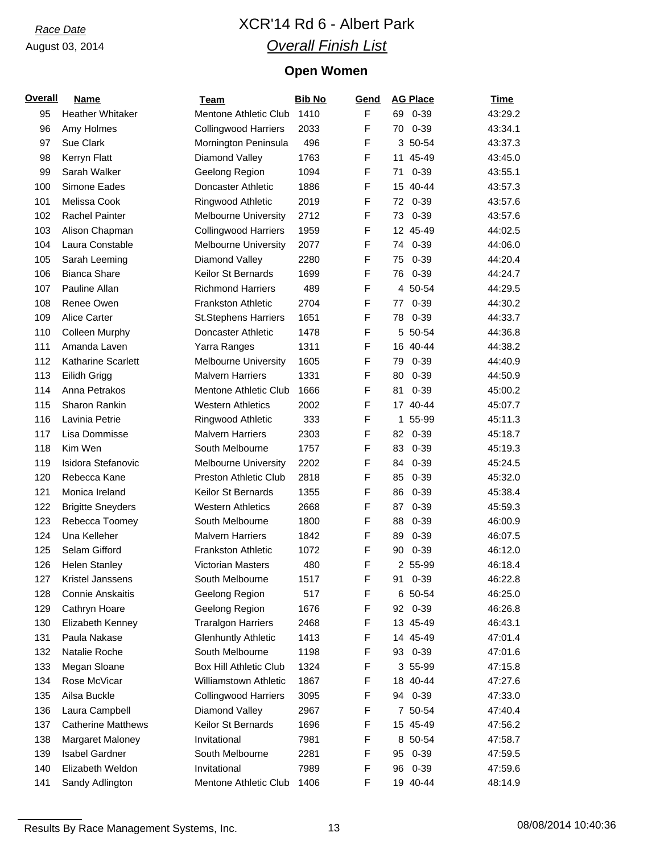# *Race Date* XCR'14 Rd 6 - Albert Park *Overall Finish List*

# **Open Women**

| <b>Overall</b> | <b>Name</b>               | <b>Team</b>                   | <b>Bib No</b> | Gend   | <b>AG Place</b> | <b>Time</b> |
|----------------|---------------------------|-------------------------------|---------------|--------|-----------------|-------------|
| 95             | Heather Whitaker          | <b>Mentone Athletic Club</b>  | 1410          | F      | 69 0-39         | 43:29.2     |
| 96             | Amy Holmes                | <b>Collingwood Harriers</b>   | 2033          | F      | 70 0-39         | 43:34.1     |
| 97             | Sue Clark                 | Mornington Peninsula          | 496           | F      | 3 50-54         | 43:37.3     |
| 98             | Kerryn Flatt              | Diamond Valley                | 1763          | F      | 11 45-49        | 43:45.0     |
| 99             | Sarah Walker              | Geelong Region                | 1094          | F      | $0 - 39$<br>71  | 43:55.1     |
| 100            | Simone Eades              | Doncaster Athletic            | 1886          | F      | 15 40-44        | 43:57.3     |
| 101            | Melissa Cook              | Ringwood Athletic             | 2019          | F      | $0 - 39$<br>72  | 43:57.6     |
| 102            | <b>Rachel Painter</b>     | <b>Melbourne University</b>   | 2712          | F      | $0 - 39$<br>73  | 43:57.6     |
| 103            | Alison Chapman            | <b>Collingwood Harriers</b>   | 1959          | F      | 12 45-49        | 44:02.5     |
| 104            | Laura Constable           | <b>Melbourne University</b>   | 2077          | F      | 74 0-39         | 44:06.0     |
| 105            | Sarah Leeming             | Diamond Valley                | 2280          | F      | $0 - 39$<br>75  | 44:20.4     |
| 106            | <b>Bianca Share</b>       | Keilor St Bernards            | 1699          | F      | $0 - 39$<br>76. | 44:24.7     |
| 107            | Pauline Allan             | <b>Richmond Harriers</b>      | 489           | F      | 4 50-54         | 44:29.5     |
| 108            | Renee Owen                | <b>Frankston Athletic</b>     | 2704          | F      | $0 - 39$<br>77  | 44:30.2     |
| 109            | Alice Carter              | <b>St.Stephens Harriers</b>   | 1651          | F      | $0 - 39$<br>78  | 44:33.7     |
| 110            | <b>Colleen Murphy</b>     | Doncaster Athletic            | 1478          | F      | 5 50-54         | 44:36.8     |
| 111            | Amanda Laven              | Yarra Ranges                  | 1311          | F      | 16 40-44        | 44:38.2     |
| 112            | Katharine Scarlett        | <b>Melbourne University</b>   | 1605          | F      | 79 0-39         | 44:40.9     |
| 113            | Eilidh Grigg              | <b>Malvern Harriers</b>       | 1331          | F      | $0 - 39$<br>80  | 44:50.9     |
|                | Anna Petrakos             | <b>Mentone Athletic Club</b>  |               | F      | $0 - 39$<br>81  |             |
| 114            | Sharon Rankin             | <b>Western Athletics</b>      | 1666<br>2002  | F      | 17 40-44        | 45:00.2     |
| 115            |                           |                               |               | F      |                 | 45:07.7     |
| 116            | Lavinia Petrie            | Ringwood Athletic             | 333           |        | 1 55-99         | 45:11.3     |
| 117            | Lisa Dommisse             | <b>Malvern Harriers</b>       | 2303          | F<br>F | $0 - 39$<br>82  | 45:18.7     |
| 118            | Kim Wen                   | South Melbourne               | 1757          |        | $0 - 39$<br>83  | 45:19.3     |
| 119            | Isidora Stefanovic        | <b>Melbourne University</b>   | 2202          | F      | $0 - 39$<br>84  | 45:24.5     |
| 120            | Rebecca Kane              | Preston Athletic Club         | 2818          | F      | 85<br>$0 - 39$  | 45:32.0     |
| 121            | Monica Ireland            | Keilor St Bernards            | 1355          | F      | $0 - 39$<br>86  | 45:38.4     |
| 122            | <b>Brigitte Sneyders</b>  | <b>Western Athletics</b>      | 2668          | F      | $0 - 39$<br>87  | 45:59.3     |
| 123            | Rebecca Toomey            | South Melbourne               | 1800          | F      | $0 - 39$<br>88  | 46:00.9     |
| 124            | Una Kelleher              | <b>Malvern Harriers</b>       | 1842          | F      | $0 - 39$<br>89  | 46:07.5     |
| 125            | Selam Gifford             | <b>Frankston Athletic</b>     | 1072          | F      | $0 - 39$<br>90  | 46:12.0     |
| 126            | <b>Helen Stanley</b>      | <b>Victorian Masters</b>      | 480           | F      | 2 55-99         | 46:18.4     |
| 127            | Kristel Janssens          | South Melbourne               | 1517          | F      | 91<br>$0 - 39$  | 46:22.8     |
| 128            | <b>Connie Anskaitis</b>   | Geelong Region                | 517           | F      | 6 50-54         | 46:25.0     |
| 129            | Cathryn Hoare             | Geelong Region                | 1676          | F      | 92<br>$0 - 39$  | 46:26.8     |
| 130            | Elizabeth Kenney          | <b>Traralgon Harriers</b>     | 2468          | F      | 13 45-49        | 46:43.1     |
| 131            | Paula Nakase              | <b>Glenhuntly Athletic</b>    | 1413          | F      | 14 45-49        | 47:01.4     |
| 132            | Natalie Roche             | South Melbourne               | 1198          | F      | 93 0-39         | 47:01.6     |
| 133            | Megan Sloane              | <b>Box Hill Athletic Club</b> | 1324          | F      | 3 55-99         | 47:15.8     |
| 134            | Rose McVicar              | <b>Williamstown Athletic</b>  | 1867          | F      | 18 40-44        | 47:27.6     |
| 135            | Ailsa Buckle              | <b>Collingwood Harriers</b>   | 3095          | F      | 94 0-39         | 47:33.0     |
| 136            | Laura Campbell            | Diamond Valley                | 2967          | F      | 7 50-54         | 47:40.4     |
| 137            | <b>Catherine Matthews</b> | Keilor St Bernards            | 1696          | F      | 15 45-49        | 47:56.2     |
| 138            | Margaret Maloney          | Invitational                  | 7981          | F      | 8 50-54         | 47:58.7     |
| 139            | <b>Isabel Gardner</b>     | South Melbourne               | 2281          | F      | 95<br>$0 - 39$  | 47:59.5     |
| 140            | Elizabeth Weldon          | Invitational                  | 7989          | F      | 96 0-39         | 47:59.6     |
| 141            | Sandy Adlington           | Mentone Athletic Club         | 1406          | F      | 19 40-44        | 48:14.9     |

Results By Race Management Systems, Inc. 13 13 08/08/2014 10:40:36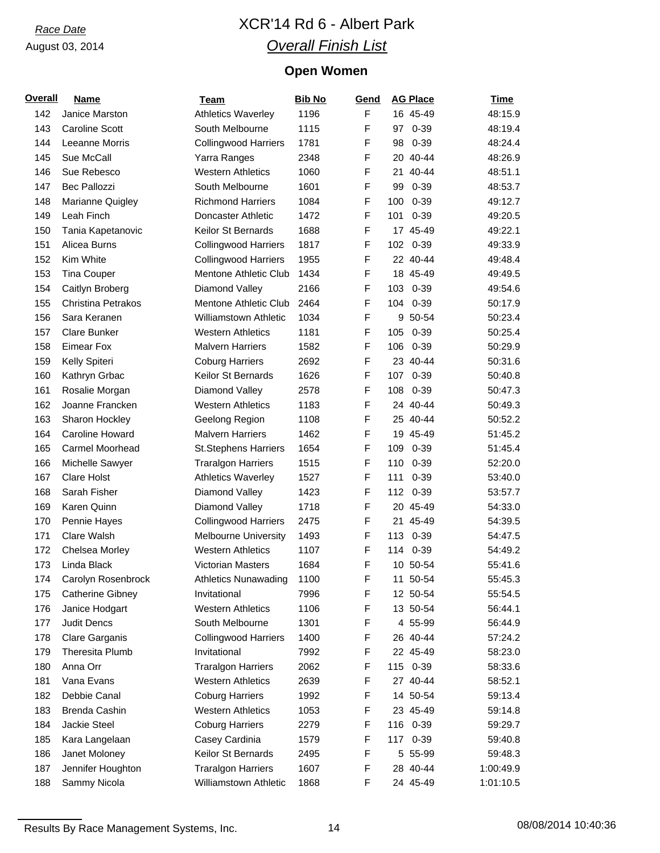# *Race Date* XCR'14 Rd 6 - Albert Park *Overall Finish List*

# **Open Women**

| <b>Overall</b> | <b>Name</b>             | Team                         | <b>Bib No</b> | Gend        | <b>AG Place</b> | <b>Time</b> |
|----------------|-------------------------|------------------------------|---------------|-------------|-----------------|-------------|
| 142            | Janice Marston          | <b>Athletics Waverley</b>    | 1196          | F           | 16 45-49        | 48:15.9     |
| 143            | <b>Caroline Scott</b>   | South Melbourne              | 1115          | F           | $0 - 39$<br>97  | 48:19.4     |
| 144            | Leeanne Morris          | <b>Collingwood Harriers</b>  | 1781          | F           | $0 - 39$<br>98  | 48:24.4     |
| 145            | Sue McCall              | Yarra Ranges                 | 2348          | F           | 20 40-44        | 48:26.9     |
| 146            | Sue Rebesco             | <b>Western Athletics</b>     | 1060          | F           | 21 40-44        | 48:51.1     |
| 147            | <b>Bec Pallozzi</b>     | South Melbourne              | 1601          | F           | 99<br>$0 - 39$  | 48:53.7     |
| 148            | Marianne Quigley        | <b>Richmond Harriers</b>     | 1084          | F           | $0 - 39$<br>100 | 49:12.7     |
| 149            | Leah Finch              | <b>Doncaster Athletic</b>    | 1472          | F           | $0 - 39$<br>101 | 49:20.5     |
| 150            | Tania Kapetanovic       | Keilor St Bernards           | 1688          | F           | 17 45-49        | 49:22.1     |
| 151            | Alicea Burns            | <b>Collingwood Harriers</b>  | 1817          | F           | 102 0-39        | 49:33.9     |
| 152            | Kim White               | <b>Collingwood Harriers</b>  | 1955          | F           | 22 40-44        | 49:48.4     |
| 153            | <b>Tina Couper</b>      | Mentone Athletic Club        | 1434          | F           | 18 45-49        | 49:49.5     |
| 154            | Caitlyn Broberg         | Diamond Valley               | 2166          | F           | $0 - 39$<br>103 | 49:54.6     |
| 155            | Christina Petrakos      | Mentone Athletic Club        | 2464          | F           | $0 - 39$<br>104 | 50:17.9     |
| 156            | Sara Keranen            | <b>Williamstown Athletic</b> | 1034          | F           | 9 50-54         | 50:23.4     |
| 157            | Clare Bunker            | <b>Western Athletics</b>     | 1181          | F           | 105<br>$0 - 39$ | 50:25.4     |
| 158            | <b>Eimear Fox</b>       | <b>Malvern Harriers</b>      | 1582          | F           | 106<br>$0 - 39$ | 50:29.9     |
| 159            | Kelly Spiteri           | <b>Coburg Harriers</b>       | 2692          | F           | 23 40-44        | 50:31.6     |
| 160            | Kathryn Grbac           | Keilor St Bernards           | 1626          | F           | 107<br>$0 - 39$ | 50:40.8     |
| 161            | Rosalie Morgan          | Diamond Valley               | 2578          | F           | 108<br>$0 - 39$ | 50:47.3     |
| 162            | Joanne Francken         | <b>Western Athletics</b>     | 1183          | F           | 24 40-44        | 50:49.3     |
| 163            | Sharon Hockley          | Geelong Region               | 1108          | F           | 25 40-44        | 50:52.2     |
| 164            | Caroline Howard         | <b>Malvern Harriers</b>      | 1462          | F           | 19 45-49        | 51:45.2     |
| 165            | Carmel Moorhead         | <b>St.Stephens Harriers</b>  | 1654          | F           | 109<br>$0 - 39$ | 51:45.4     |
| 166            | Michelle Sawyer         | <b>Traralgon Harriers</b>    | 1515          | F           | 110<br>$0 - 39$ | 52:20.0     |
| 167            | <b>Clare Holst</b>      | <b>Athletics Waverley</b>    | 1527          | F           | $0 - 39$<br>111 | 53:40.0     |
| 168            | Sarah Fisher            | Diamond Valley               | 1423          | F           | 112<br>$0 - 39$ | 53:57.7     |
| 169            | Karen Quinn             | Diamond Valley               | 1718          | F           | 20 45-49        | 54:33.0     |
| 170            | Pennie Hayes            | <b>Collingwood Harriers</b>  | 2475          | F           | 21 45-49        | 54:39.5     |
| 171            | Clare Walsh             | <b>Melbourne University</b>  | 1493          | F           | 0-39<br>113     | 54:47.5     |
| 172            | Chelsea Morley          | <b>Western Athletics</b>     | 1107          | F           | 114 0-39        | 54:49.2     |
| 173            | Linda Black             | Victorian Masters            | 1684          | F           | 10 50-54        | 55:41.6     |
| 174            | Carolyn Rosenbrock      | <b>Athletics Nunawading</b>  | 1100          | $\mathsf F$ | 11 50-54        | 55:45.3     |
| 175            | <b>Catherine Gibney</b> | Invitational                 | 7996          | F           | 12 50-54        | 55:54.5     |
| 176            | Janice Hodgart          | <b>Western Athletics</b>     | 1106          | F           | 13 50-54        | 56:44.1     |
| 177            | Judit Dencs             | South Melbourne              | 1301          | F           | 4 55-99         | 56:44.9     |
| 178            | Clare Garganis          | <b>Collingwood Harriers</b>  | 1400          | F           | 26 40-44        | 57:24.2     |
| 179            | Theresita Plumb         | Invitational                 | 7992          | F           | 22 45-49        | 58:23.0     |
| 180            | Anna Orr                | <b>Traralgon Harriers</b>    | 2062          | F           | 115 0-39        | 58:33.6     |
| 181            | Vana Evans              | <b>Western Athletics</b>     | 2639          | F           | 27 40-44        | 58:52.1     |
| 182            | Debbie Canal            | <b>Coburg Harriers</b>       | 1992          | F           | 14 50-54        | 59:13.4     |
| 183            | Brenda Cashin           | <b>Western Athletics</b>     | 1053          | F           | 23 45-49        | 59:14.8     |
| 184            | Jackie Steel            | <b>Coburg Harriers</b>       | 2279          | F           | $0 - 39$<br>116 | 59:29.7     |
| 185            | Kara Langelaan          | Casey Cardinia               | 1579          | F           | $0 - 39$<br>117 | 59:40.8     |
| 186            | Janet Moloney           | Keilor St Bernards           | 2495          | F           | 5 55-99         | 59:48.3     |
| 187            | Jennifer Houghton       | <b>Traralgon Harriers</b>    | 1607          | F           | 28 40-44        | 1:00:49.9   |
| 188            | Sammy Nicola            | Williamstown Athletic        | 1868          | F           | 24 45-49        | 1:01:10.5   |
|                |                         |                              |               |             |                 |             |

Results By Race Management Systems, Inc. 14 14 108/08/2014 10:40:36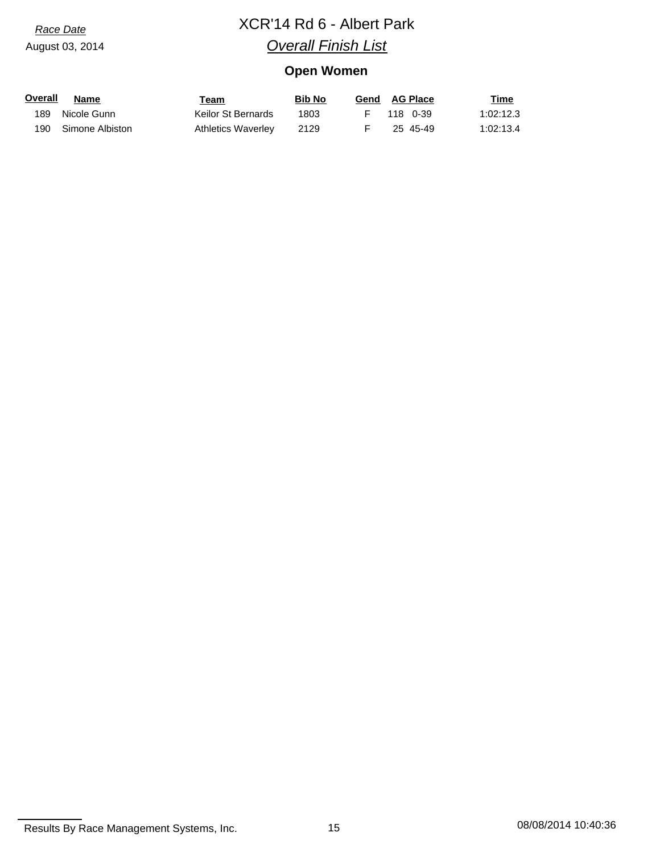# *Race Date* XCR'14 Rd 6 - Albert Park *Overall Finish List*

# **Open Women**

| Overall | Name                | Team               | <b>Bib No</b> | Gend AG Place | Time      |
|---------|---------------------|--------------------|---------------|---------------|-----------|
| 189     | Nicole Gunn         | Keilor St Bernards | 1803          | F 118 0-39    | 1:02:12.3 |
|         | 190 Simone Albiston | Athletics Waverley | 2129          | 25 45-49      | 1:02:13.4 |

Results By Race Management Systems, Inc. 15 15 108/08/2014 10:40:36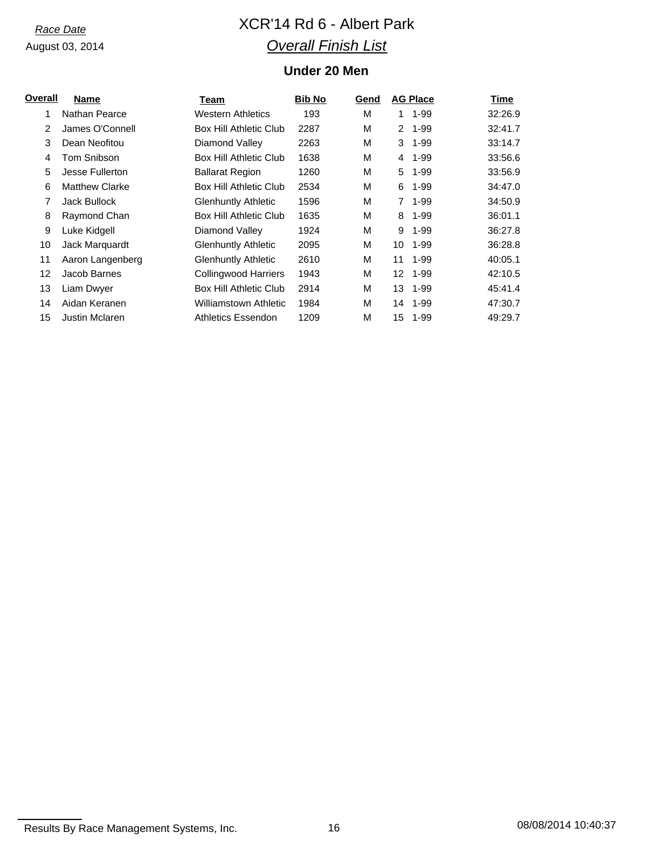# *Race Date* XCR'14 Rd 6 - Albert Park *Overall Finish List*

## **Under 20 Men**

| Overall | <b>Name</b>           | Team                          | <b>Bib No</b> | Gend |                      | <b>AG Place</b> | Time    |
|---------|-----------------------|-------------------------------|---------------|------|----------------------|-----------------|---------|
| 1       | Nathan Pearce         | Western Athletics             | 193           | M    | 1.                   | 1-99            | 32:26.9 |
| 2       | James O'Connell       | <b>Box Hill Athletic Club</b> | 2287          | M    | $\mathbf{2}^{\circ}$ | $1 - 99$        | 32:41.7 |
| 3       | Dean Neofitou         | Diamond Valley                | 2263          | M    | 3                    | $1 - 99$        | 33:14.7 |
| 4       | Tom Snibson           | Box Hill Athletic Club        | 1638          | M    | 4                    | $1 - 99$        | 33:56.6 |
| 5       | Jesse Fullerton       | <b>Ballarat Region</b>        | 1260          | M    | 5                    | $1 - 99$        | 33:56.9 |
| 6       | <b>Matthew Clarke</b> | <b>Box Hill Athletic Club</b> | 2534          | M    | 6                    | $1 - 99$        | 34:47.0 |
| 7       | Jack Bullock          | <b>Glenhuntly Athletic</b>    | 1596          | M    | $\overline{7}$       | $1 - 99$        | 34:50.9 |
| 8       | Raymond Chan          | Box Hill Athletic Club        | 1635          | M    | 8                    | $1 - 99$        | 36:01.1 |
| 9       | Luke Kidgell          | Diamond Valley                | 1924          | M    | 9                    | 1-99            | 36:27.8 |
| 10      | Jack Marquardt        | <b>Glenhuntly Athletic</b>    | 2095          | M    | 10                   | $1 - 99$        | 36:28.8 |
| 11      | Aaron Langenberg      | Glenhuntly Athletic           | 2610          | M    | 11                   | $1 - 99$        | 40:05.1 |
| 12      | Jacob Barnes          | <b>Collingwood Harriers</b>   | 1943          | M    | 12 <sup>°</sup>      | $1 - 99$        | 42:10.5 |
| 13      | Liam Dwyer            | <b>Box Hill Athletic Club</b> | 2914          | M    | 13                   | 1-99            | 45:41.4 |
| 14      | Aidan Keranen         | Williamstown Athletic         | 1984          | M    | 14                   | 1-99            | 47:30.7 |
| 15      | <b>Justin Mclaren</b> | Athletics Essendon            | 1209          | M    | 15                   | $1 - 99$        | 49:29.7 |
|         |                       |                               |               |      |                      |                 |         |

Results By Race Management Systems, Inc. 16 16 108/08/2014 10:40:37